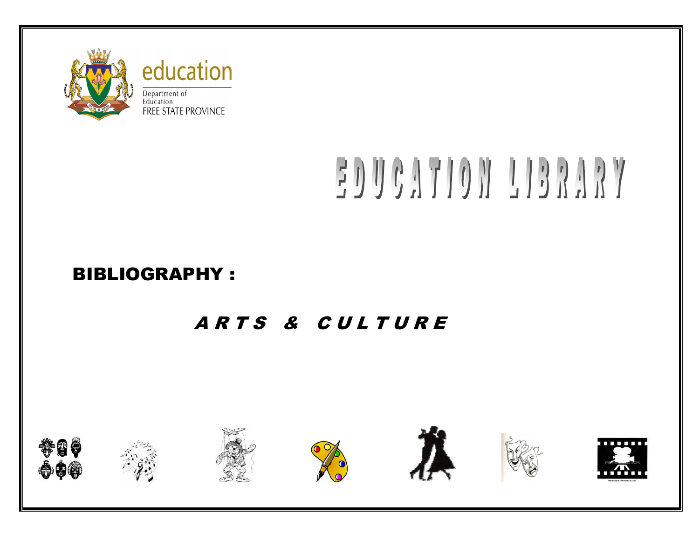

# EDUCATION LIBRARY

## BIBLIOGRAPHY :

# ARTS & CULTURE











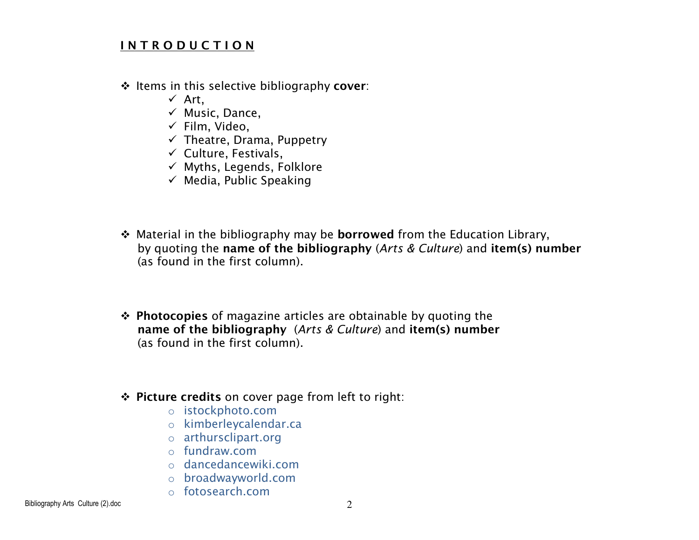#### I N T R O D U C T I O N

- $\div$  Items in this selective bibliography cover:<br> $\angle$  Art
	- ✓ Art,<br>✓ Musi
	- ✓ Music, Dance,<br>✓ Film Video
	- Film, Video,
	- Theatre, Drama, Puppetry
	- Culture, Festivals,
	- Myths, Legends, Folklore
	- $\checkmark$  Media, Public Speaking
- Material in the bibliography may be **borrowed** from the Education Library,<br>by quoting the **name of the hibliography** (*Arts & Culture*) and **item(s)** nur by quoting the name of the bibliography (Arts & Culture) and item(s) number(as found in the first column).
- **Photocopies** of magazine articles are obtainable by quoting the<br>name of the bibliography (Arts & Culture) and item(s) number name of the bibliography (Arts & Culture) and item(s) number (as found in the first column).
- $\div$  Picture credits on cover page from left to right:
	- o istockphoto.com
	- o kimberleycalendar.ca
	- o arthursclipart.org
	- o fundraw.com
	- o dancedancewiki.com
	- o broadwayworld.com
	- o fotosearch.com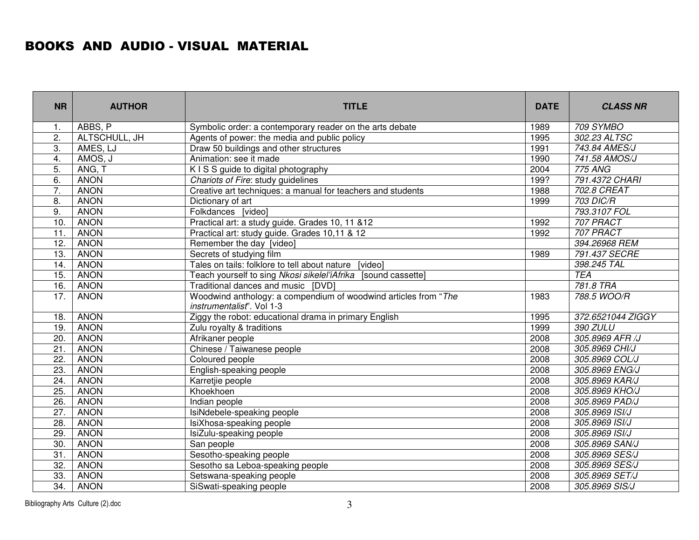### BOOKS AND AUDIO - VISUAL MATERIAL

| <b>NR</b>         | <b>AUTHOR</b> | <b>TITLE</b>                                                                                 | <b>DATE</b> | <b>CLASS NR</b>   |
|-------------------|---------------|----------------------------------------------------------------------------------------------|-------------|-------------------|
| $\mathbf{1}$ .    | ABBS, P       | Symbolic order: a contemporary reader on the arts debate                                     | 1989        | 709 SYMBO         |
| 2.                | ALTSCHULL, JH | Agents of power: the media and public policy                                                 | 1995        | 302.23 ALTSC      |
| 3.                | AMES, LJ      | Draw 50 buildings and other structures                                                       | 1991        | 743.84 AMES/J     |
| 4.                | AMOS, J       | Animation: see it made                                                                       | 1990        | 741.58 AMOS/J     |
| 5.                | ANG, T        | K I S S guide to digital photography                                                         | 2004        | <b>775 ANG</b>    |
| 6.                | <b>ANON</b>   | Chariots of Fire: study guidelines                                                           | 199?        | 791.4372 CHARI    |
| 7.                | <b>ANON</b>   | Creative art techniques: a manual for teachers and students                                  | 1988        | 702.8 CREAT       |
| 8.                | <b>ANON</b>   | Dictionary of art                                                                            | 1999        | <b>703 DIC/R</b>  |
| 9.                | <b>ANON</b>   | Folkdances [video]                                                                           |             | 793.3107 FOL      |
| 10.               | <b>ANON</b>   | Practical art: a study guide. Grades 10, 11 & 12                                             | 1992        | 707 PRACT         |
| 11.               | <b>ANON</b>   | Practical art: study guide. Grades 10,11 & 12                                                | 1992        | 707 PRACT         |
| 12.               | <b>ANON</b>   | Remember the day [video]                                                                     |             | 394.26968 REM     |
| 13.               | <b>ANON</b>   | Secrets of studying film                                                                     | 1989        | 791.437 SECRE     |
| $\overline{14}$ . | <b>ANON</b>   | Tales on tails: folklore to tell about nature [video]                                        |             | 398.245 TAL       |
| 15.               | <b>ANON</b>   | Teach yourself to sing Nkosi sikelel'iAfrika [sound cassette]                                |             | <b>TEA</b>        |
| 16.               | <b>ANON</b>   | Traditional dances and music [DVD]                                                           |             | 781.8 TRA         |
| 17.               | <b>ANON</b>   | Woodwind anthology: a compendium of woodwind articles from "The<br>instrumentalist". Vol 1-3 | 1983        | 788.5 WOO/R       |
| 18.               | <b>ANON</b>   | Ziggy the robot: educational drama in primary English                                        | 1995        | 372.6521044 ZIGGY |
| 19.               | <b>ANON</b>   | Zulu royalty & traditions                                                                    | 1999        | 390 ZULU          |
| 20.               | <b>ANON</b>   | Afrikaner people                                                                             | 2008        | 305.8969 AFR /J   |
| $\overline{21}$   | <b>ANON</b>   | Chinese / Taiwanese people                                                                   | 2008        | 305.8969 CHI/J    |
| 22.               | <b>ANON</b>   | Coloured people                                                                              | 2008        | 305.8969 COL/J    |
| 23.               | <b>ANON</b>   | English-speaking people                                                                      | 2008        | 305.8969 ENG/J    |
| 24.               | <b>ANON</b>   | Karretjie people                                                                             | 2008        | 305.8969 KAR/J    |
| 25.               | <b>ANON</b>   | Khoekhoen                                                                                    | 2008        | 305.8969 KHO/J    |
| 26.               | <b>ANON</b>   | Indian people                                                                                | 2008        | 305.8969 PAD/J    |
| 27.               | <b>ANON</b>   | IsiNdebele-speaking people                                                                   | 2008        | 305.8969 ISI/J    |
| 28.               | <b>ANON</b>   | IsiXhosa-speaking people                                                                     | 2008        | 305.8969 ISI/J    |
| 29.               | <b>ANON</b>   | IsiZulu-speaking people                                                                      | 2008        | 305.8969 ISI/J    |
| 30.               | <b>ANON</b>   | San people                                                                                   | 2008        | 305.8969 SAN/J    |
| 31.               | <b>ANON</b>   | Sesotho-speaking people                                                                      | 2008        | 305.8969 SES/J    |
| 32.               | <b>ANON</b>   | Sesotho sa Leboa-speaking people                                                             | 2008        | 305.8969 SES/J    |
| 33.               | <b>ANON</b>   | Setswana-speaking people                                                                     | 2008        | 305.8969 SET/J    |
| 34.               | <b>ANON</b>   | SiSwati-speaking people                                                                      | 2008        | 305.8969 SIS/J    |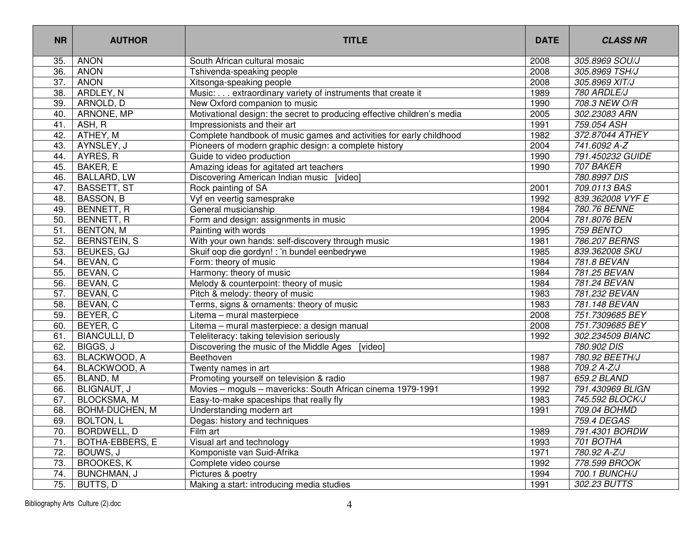| <b>NR</b> | <b>AUTHOR</b>         | <b>TITLE</b>                                                            | <b>DATE</b> | <b>CLASS NR</b>          |
|-----------|-----------------------|-------------------------------------------------------------------------|-------------|--------------------------|
| 35.       | ANON                  | South African cultural mosaic                                           | 2008        | 305.8969 SOU/J           |
| 36.       | <b>ANON</b>           | Tshivenda-speaking people                                               | 2008        | 305.8969 TSH/J           |
| 37.       | <b>ANON</b>           | Xitsonga-speaking people                                                | 2008        | 305.8969 XIT/J           |
| 38.       | ARDLEY, N             | Music: extraordinary variety of instruments that create it              | 1989        | 780 ARDLE/J              |
| 39.       | ARNOLD, D             | New Oxford companion to music                                           | 1990        | 708.3 NEW O/R            |
| 40.       | ARNONE, MP            | Motivational design: the secret to producing effective children's media | 2005        | 302.23083 ARN            |
| 41.       | ASH, R                | Impressionists and their art                                            | 1991        | 759.054 ASH              |
| 42.       | ATHEY, M              | Complete handbook of music games and activities for early childhood     | 1982        | 372.87044 ATHEY          |
| 43.       | AYNSLEY, J            | Pioneers of modern graphic design: a complete history                   | 2004        | 741.6092 A-Z             |
| 44.       | AYRES, R              | Guide to video production                                               | 1990        | 791.450232 GUIDE         |
| 45.       | BAKER, E              | Amazing ideas for agitated art teachers                                 | 1990        | 707 BAKER                |
| 46.       | <b>BALLARD, LW</b>    | Discovering American Indian music [video]                               |             | 780.8997 DIS             |
| 47.       | <b>BASSETT, ST</b>    | Rock painting of SA                                                     | 2001        | 709.0113 BAS             |
| 48.       | BASSON, B             | Vyf en veertig samesprake                                               | 1992        | 839.362008 VYF E         |
| 49.       | BENNETT, R            | General musicianship                                                    | 1984        | 780.76 BENNE             |
| 50.       | BENNETT, R            | Form and design: assignments in music                                   | 2004        | 781.8076 BEN             |
| 51.       | <b>BENTON, M</b>      | Painting with words                                                     | 1995        | 759 BENTO                |
| 52.       | <b>BERNSTEIN, S</b>   | With your own hands: self-discovery through music                       | 1981        | 786.207 BERNS            |
| 53.       | <b>BEUKES, GJ</b>     | Skuif oop die gordyn! : 'n bundel eenbedrywe                            | 1985        | 839.362008 SKU           |
| 54.       | BEVAN, C              | Form: theory of music                                                   | 1984        | 781.8 BEVAN              |
| 55.       | BEVAN, C              | Harmony: theory of music                                                | 1984        | 781.25 BEVAN             |
| 56.       | BEVAN, C              | Melody & counterpoint: theory of music                                  | 1984        | 781.24 BEVAN             |
| 57.       | BEVAN, C              | Pitch & melody: theory of music                                         | 1983        | 781.232 BEVAN            |
| 58.       | BEVAN, C              | Terms, signs & ornaments: theory of music                               | 1983        | 781.148 BEVAN            |
| 59.       | BEYER, C              | Litema - mural masterpiece                                              | 2008        | 751.7309685 BEY          |
| 60.       | BEYER, C              | Litema - mural masterpiece: a design manual                             | 2008        | 751.7309685 BEY          |
| 61.       | <b>BIANCULLI, D</b>   | Teleliteracy: taking television seriously                               | 1992        | 302.234509 BIANC         |
| 62.       | BIGGS, J              | Discovering the music of the Middle Ages<br>[video]                     |             | 780.902 DIS              |
| 63.       | BLACKWOOD, A          | Beethoven                                                               | 1987        | 780.92 BEETH/J           |
| 64.       | BLACKWOOD, A          | Twenty names in art                                                     | 1988        | $\overline{709.2}$ A-Z/J |
| 65.       | BLAND, M              | Promoting yourself on television & radio                                | 1987        | 659.2 BLAND              |
| 66.       | <b>BLIGNAUT, J</b>    | Movies - moguls - mavericks: South African cinema 1979-1991             | 1992        | 791.430969 BLIGN         |
| 67.       | <b>BLOCKSMA, M</b>    | Easy-to-make spaceships that really fly                                 | 1983        | 745.592 BLOCK/J          |
| 68.       | <b>BOHM-DUCHEN, M</b> | Understanding modern art                                                | 1991        | 709.04 BOHMD             |
| 69.       | BOLTON, L             | Degas: history and techniques                                           |             | 759.4 DEGAS              |
| 70.       | BORDWELL, D           | Film art                                                                | 1989        | 791.4301 BORDW           |
| 71.       | BOTHA-EBBERS, E       | Visual art and technology                                               | 1993        | 701 BOTHA                |
| 72.       | BOUWS, J              | Komponiste van Suid-Afrika                                              | 1971        | 780.92 A-Z/J             |
| 73.       | <b>BROOKES, K</b>     | Complete video course                                                   | 1992        | 778.599 BROOK            |
| 74.       | BUNCHMAN, J           | Pictures & poetry                                                       | 1994        | 700.1 BUNCH/J            |
| 75.       | BUTTS, D              | Making a start: introducing media studies                               | 1991        | 302.23 BUTTS             |
|           |                       |                                                                         |             |                          |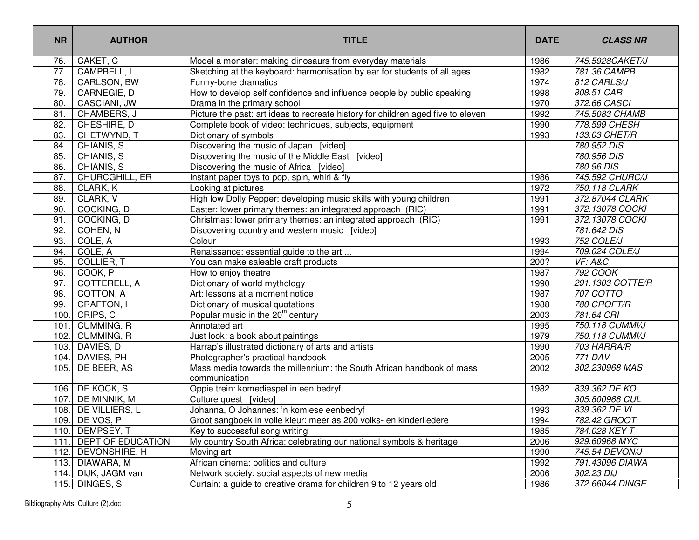| <b>NR</b>         | <b>AUTHOR</b>       | <b>TITLE</b>                                                                           | <b>DATE</b> | <b>CLASS NR</b>  |
|-------------------|---------------------|----------------------------------------------------------------------------------------|-------------|------------------|
| 76.               | CAKET, C            | Model a monster: making dinosaurs from everyday materials                              | 1986        | 745.5928CAKET/J  |
| $\overline{77}$ . | CAMPBELL, L         | Sketching at the keyboard: harmonisation by ear for students of all ages               | 1982        | 781.36 CAMPB     |
| 78.               | CARLSON, BW         | Funny-bone dramatics                                                                   | 1974        | 812 CARLS/J      |
| 79.               | CARNEGIE, D         | How to develop self confidence and influence people by public speaking                 | 1998        | 808.51 CAR       |
| 80.               | CASCIANI, JW        | Drama in the primary school                                                            | 1970        | 372.66 CASCI     |
| 81.               | CHAMBERS, J         | Picture the past: art ideas to recreate history for children aged five to eleven       | 1992        | 745.5083 CHAMB   |
| 82.               | CHESHIRE, D         | Complete book of video: techniques, subjects, equipment                                | 1990        | 778.599 CHESH    |
| 83.               | CHETWYND, T         | Dictionary of symbols                                                                  | 1993        | 133.03 CHET/R    |
| 84.               | CHIANIS, S          | Discovering the music of Japan [video]                                                 |             | 780.952 DIS      |
| 85.               | CHIANIS, S          | Discovering the music of the Middle East [video]                                       |             | 780.956 DIS      |
| 86.               | CHIANIS, S          | Discovering the music of Africa [video]                                                |             | 780.96 DIS       |
| 87.               | CHURCGHILL, ER      | Instant paper toys to pop, spin, whirl & fly                                           | 1986        | 745.592 CHURC/J  |
| 88.               | CLARK, K            | Looking at pictures                                                                    | 1972        | 750.118 CLARK    |
| 89.               | CLARK, V            | High low Dolly Pepper: developing music skills with young children                     | 1991        | 372.87044 CLARK  |
| 90.               | COCKING, D          | Easter: lower primary themes: an integrated approach (RIC)                             | 1991        | 372.13078 COCKI  |
| 91.               | COCKING, D          | Christmas: lower primary themes: an integrated approach (RIC)                          | 1991        | 372.13078 COCKI  |
| 92.               | COHEN, N            | Discovering country and western music [video]                                          |             | 781.642 DIS      |
| 93.               | COLE, A             | Colour                                                                                 | 1993        | 752 COLE/J       |
| 94.               | COLE, A             | Renaissance: essential guide to the art                                                | 1994        | 709.024 COLE/J   |
| 95.               | <b>COLLIER, T</b>   | You can make saleable craft products                                                   | 200?        | VF: A&C          |
| 96.               | COOK, P             | How to enjoy theatre                                                                   | 1987        | 792 COOK         |
| 97.               | COTTERELL, A        | Dictionary of world mythology                                                          | 1990        | 291.1303 COTTE/R |
| 98.               | COTTON, A           | Art: lessons at a moment notice                                                        | 1987        | 707 COTTO        |
| 99.               | CRAFTON, I          | Dictionary of musical quotations                                                       | 1988        | 780 CROFT/R      |
| 100.              | CRIPS, C            | Popular music in the 20 <sup>th</sup> century                                          | 2003        | 781.64 CRI       |
| 101               | CUMMING, R          | Annotated art                                                                          | 1995        | 750.118 CUMMI/J  |
|                   | 102. CUMMING, R     | Just look: a book about paintings                                                      | 1979        | 750.118 CUMMI/J  |
| 103.              | DAVIES, D           | Harrap's illustrated dictionary of arts and artists                                    | 1990        | 703 HARRA/R      |
|                   | 104. DAVIES, PH     | Photographer's practical handbook                                                      | 2005        | 771 DAV          |
| 105.              | DE BEER, AS         | Mass media towards the millennium: the South African handbook of mass<br>communication | 2002        | 302.230968 MAS   |
|                   | 106. DE KOCK, S     | Oppie trein: komediespel in een bedryf                                                 | 1982        | 839.362 DE KO    |
|                   | 107. DE MINNIK, M   | Culture quest [video]                                                                  |             | 305.800968 CUL   |
|                   | 108. DE VILLIERS, L | Johanna, O Johannes: 'n komiese eenbedryf                                              | 1993        | 839.362 DE VI    |
|                   | 109. DE VOS, P      | Groot sangboek in volle kleur: meer as 200 volks- en kinderliedere                     | 1994        | 782.42 GROOT     |
|                   | 110. DEMPSEY, T     | Key to successful song writing                                                         | 1985        | 784.028 KEY T    |
| 111.              | DEPT OF EDUCATION   | My country South Africa: celebrating our national symbols & heritage                   | 2006        | 929.60968 MYC    |
|                   | 112. DEVONSHIRE, H  | Moving art                                                                             | 1990        | 745.54 DEVON/J   |
|                   | 113. DIAWARA, M     | African cinema: politics and culture                                                   | 1992        | 791.43096 DIAWA  |
|                   | 114. DIJK, JAGM van | Network society: social aspects of new media                                           | 2006        | 302.23 DIJ       |
|                   | 115. DINGES, S      | Curtain: a guide to creative drama for children 9 to 12 years old                      | 1986        | 372.66044 DINGE  |
|                   |                     |                                                                                        |             |                  |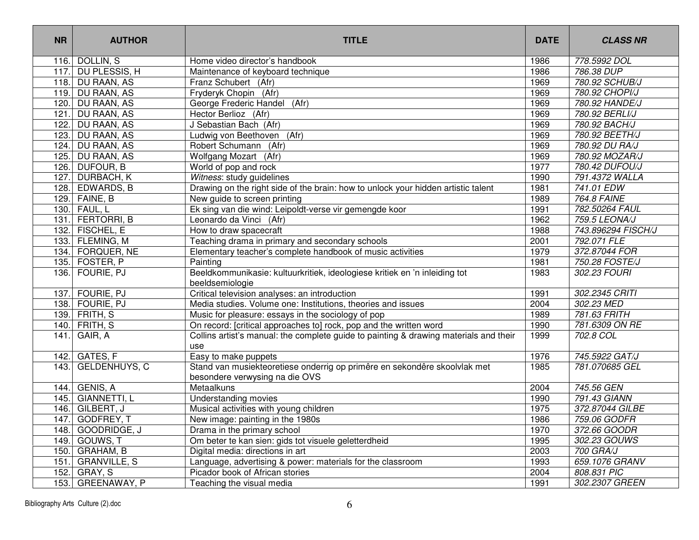| <b>NR</b> | <b>AUTHOR</b>        | <b>TITLE</b>                                                                                                | <b>DATE</b> | <b>CLASS NR</b>    |
|-----------|----------------------|-------------------------------------------------------------------------------------------------------------|-------------|--------------------|
| 116.      | DOLLIN, S            | Home video director's handbook                                                                              | 1986        | 778.5992 DOL       |
| 117.      | DU PLESSIS, H        | Maintenance of keyboard technique                                                                           | 1986        | 786.38 DUP         |
|           | 118. DU RAAN, AS     | Franz Schubert (Afr)                                                                                        | 1969        | 780.92 SCHUB/J     |
| 119.      | <b>DU RAAN, AS</b>   | Fryderyk Chopin (Afr)                                                                                       | 1969        | 780.92 CHOPI/J     |
| 120.      | DU RAAN, AS          | George Frederic Handel<br>(Afr)                                                                             | 1969        | 780.92 HANDE/J     |
| 121.      | DU RAAN, AS          | Hector Berlioz (Afr)                                                                                        | 1969        | 780.92 BERLI/J     |
| 122.      | DU RAAN, AS          | J Sebastian Bach (Afr)                                                                                      | 1969        | 780.92 BACH/J      |
| 123.      | DU RAAN, AS          | Ludwig von Beethoven<br>(Afr)                                                                               | 1969        | 780.92 BEETH/J     |
|           | 124. DU RAAN, AS     | Robert Schumann (Afr)                                                                                       | 1969        | 780.92 DU RA/J     |
| 125.      | DU RAAN, AS          | Wolfgang Mozart (Afr)                                                                                       | 1969        | 780.92 MOZAR/J     |
|           | 126. DUFOUR, B       | World of pop and rock                                                                                       | 1977        | 780.42 DUFOU/J     |
| 127.      | DURBACH, K           | Witness: study guidelines                                                                                   | 1990        | 791.4372 WALLA     |
|           | 128. EDWARDS, B      | Drawing on the right side of the brain: how to unlock your hidden artistic talent                           | 1981        | 741.01 EDW         |
|           | 129. FAINE, B        | New guide to screen printing                                                                                | 1989        | 764.8 FAINE        |
|           | 130. FAUL, L         | Ek sing van die wind: Leipoldt-verse vir gemengde koor                                                      | 1991        | 782.50264 FAUL     |
| 131.      | FERTORRI, B          | Leonardo da Vinci (Afr)                                                                                     | 1962        | 759.5 LEONA/J      |
|           | 132. FISCHEL, E      | How to draw spacecraft                                                                                      | 1988        | 743.896294 FISCH/J |
|           | 133. FLEMING, M      | Teaching drama in primary and secondary schools                                                             | 2001        | 792.071 FLE        |
|           | 134. FORQUER, NE     | Elementary teacher's complete handbook of music activities                                                  | 1979        | 372.87044 FOR      |
|           | 135. FOSTER, P       | Painting                                                                                                    | 1981        | 750.28 FOSTE/J     |
|           | 136. FOURIE, PJ      | Beeldkommunikasie: kultuurkritiek, ideologiese kritiek en 'n inleiding tot                                  | 1983        | 302.23 FOURI       |
|           |                      | beeldsemiologie                                                                                             |             |                    |
| 137.      | FOURIE, PJ           | Critical television analyses: an introduction                                                               | 1991        | 302.2345 CRITI     |
|           | 138. FOURIE, PJ      | Media studies. Volume one: Institutions, theories and issues                                                | 2004        | 302.23 MED         |
|           | 139. FRITH, S        | Music for pleasure: essays in the sociology of pop                                                          | 1989        | 781.63 FRITH       |
| 140.      | FRITH, S             | On record: [critical approaches to] rock, pop and the written word                                          | 1990        | 781.6309 ON RE     |
| 141.      | GAIR, A              | Collins artist's manual: the complete guide to painting & drawing materials and their<br>use                | 1999        | 702.8 COL          |
|           | 142. GATES, F        | Easy to make puppets                                                                                        | 1976        | 745.5922 GAT/J     |
| 143.      | <b>GELDENHUYS, C</b> | Stand van musiekteoretiese onderrig op primêre en sekondêre skoolvlak met<br>besondere verwysing na die OVS | 1985        | 781.070685 GEL     |
| 144.      | GENIS, A             | Metaalkuns                                                                                                  | 2004        | 745.56 GEN         |
|           | 145. GIANNETTI, L    | Understanding movies                                                                                        | 1990        | 791.43 GIANN       |
| 146.      | GILBERT, J           | Musical activities with young children                                                                      | 1975        | 372.87044 GILBE    |
|           | 147. GODFREY, T      | New image: painting in the 1980s                                                                            | 1986        | 759.06 GODFR       |
|           | 148. GOODRIDGE, J    | Drama in the primary school                                                                                 | 1970        | 372.66 GOODR       |
|           | 149. GOUWS, T        | Om beter te kan sien: gids tot visuele geletterdheid                                                        | 1995        | 302.23 GOUWS       |
|           | 150. GRAHAM, B       | Digital media: directions in art                                                                            | 2003        | 700 GRA/J          |
|           | 151. GRANVILLE, S    | Language, advertising & power: materials for the classroom                                                  | 1993        | 659.1076 GRANV     |
|           | 152. GRAY, S         | Picador book of African stories                                                                             | 2004        | 808.831 PIC        |
|           | 153. GREENAWAY, P    | Teaching the visual media                                                                                   | 1991        | 302.2307 GREEN     |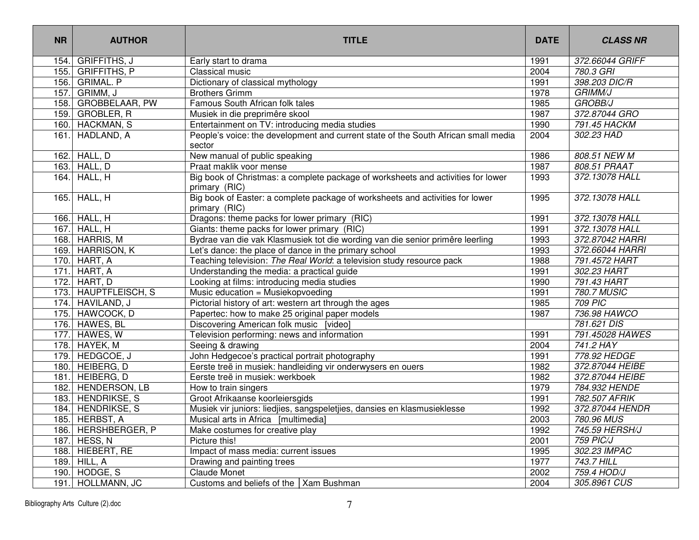| <b>NR</b> | <b>AUTHOR</b>        | <b>TITLE</b>                                                                                      | <b>DATE</b> | <b>CLASS NR</b>    |
|-----------|----------------------|---------------------------------------------------------------------------------------------------|-------------|--------------------|
| 154.      | GRIFFITHS, J         | Early start to drama                                                                              | 1991        | 372.66044 GRIFF    |
|           | 155. GRIFFITHS, P    | Classical music                                                                                   | 2004        | 780.3 GRI          |
|           | 156. GRIMAL. P       | Dictionary of classical mythology                                                                 | 1991        | 398.203 DIC/R      |
|           | 157. GRIMM, J        | <b>Brothers Grimm</b>                                                                             | 1978        | <b>GRIMM/J</b>     |
|           | 158. GROBBELAAR, PW  | Famous South African folk tales                                                                   | 1985        | <b>GROBB/J</b>     |
| 159.      | GROBLER, R           | Musiek in die preprimêre skool                                                                    | 1987        | 372.87044 GRO      |
|           | 160. HACKMAN, S      | Entertainment on TV: introducing media studies                                                    | 1990        | 791.45 HACKM       |
|           | 161. HADLAND, A      | People's voice: the development and current state of the South African small media<br>sector      | 2004        | 302.23 HAD         |
| 162.      | HALL, D              | New manual of public speaking                                                                     | 1986        | 808.51 NEW M       |
|           | 163. HALL, D         | Praat maklik voor mense                                                                           | 1987        | 808.51 PRAAT       |
|           | $164.$ HALL, H       | Big book of Christmas: a complete package of worksheets and activities for lower<br>primary (RIC) | 1993        | 372.13078 HALL     |
|           | 165. HALL, H         | Big book of Easter: a complete package of worksheets and activities for lower<br>primary (RIC)    | 1995        | 372.13078 HALL     |
|           | 166. HALL, $H$       | Dragons: theme packs for lower primary (RIC)                                                      | 1991        | 372.13078 HALL     |
|           | 167. HALL, H         | Giants: theme packs for lower primary (RIC)                                                       | 1991        | 372.13078 HALL     |
|           | 168. HARRIS, M       | Bydrae van die vak Klasmusiek tot die wording van die senior primêre leerling                     | 1993        | 372.87042 HARRI    |
|           | 169. HARRISON, K     | Let's dance: the place of dance in the primary school                                             | 1993        | 372.66044 HARRI    |
|           | 170. HART, A         | Teaching television: The Real World: a television study resource pack                             | 1988        | 791.4572 HART      |
| 171.      | HART, A              | Understanding the media: a practical guide                                                        | 1991        | 302.23 HART        |
|           | 172. HART, D         | Looking at films: introducing media studies                                                       | 1990        | 791.43 HART        |
|           | 173. HAUPTFLEISCH, S | Music education = Musiekopvoeding                                                                 | 1991        | <b>780.7 MUSIC</b> |
|           | 174. HAVILAND, J     | Pictorial history of art: western art through the ages                                            | 1985        | <b>709 PIC</b>     |
|           | 175. HAWCOCK, D      | Papertec: how to make 25 original paper models                                                    | 1987        | 736.98 HAWCO       |
|           | 176. HAWES, BL       | Discovering American folk music [video]                                                           |             | 781.621 DIS        |
|           | 177. HAWES, W        | Television performing: news and information                                                       | 1991        | 791.45028 HAWES    |
|           | 178. HAYEK, M        | Seeing & drawing                                                                                  | 2004        | 741.2 HAY          |
|           | 179. HEDGCOE, J      | John Hedgecoe's practical portrait photography                                                    | 1991        | 778.92 HEDGE       |
|           | 180. HEIBERG, D      | Eerste treë in musiek: handleiding vir onderwysers en ouers                                       | 1982        | 372.87044 HEIBE    |
| 181.      | HEIBERG, D           | Eerste treë in musiek: werkboek                                                                   | 1982        | 372.87044 HEIBE    |
|           | 182. HENDERSON, LB   | How to train singers                                                                              | 1979        | 784.932 HENDE      |
| 183.      | <b>HENDRIKSE, S</b>  | Groot Afrikaanse koorleiersgids                                                                   | 1991        | 782.507 AFRIK      |
|           | 184. HENDRIKSE, S    | Musiek vir juniors: liedjies, sangspeletjies, dansies en klasmusieklesse                          | 1992        | 372.87044 HENDR    |
|           | 185. HERBST, A       | Musical arts in Africa [multimedia]                                                               | 2003        | 780.96 MUS         |
|           | 186. HERSHBERGER, P  | Make costumes for creative play                                                                   | 1992        | 745.59 HERSH/J     |
|           | 187. HESS, N         | Picture this!                                                                                     | 2001        | 759 PIC/J          |
|           | 188. HIEBERT, RE     | Impact of mass media: current issues                                                              | 1995        | 302.23 IMPAC       |
|           | 189. HILL, A         | Drawing and painting trees                                                                        | 1977        | 743.7 HILL         |
|           | 190. HODGE, S        | Claude Monet                                                                                      | 2002        | 759.4 HOD/J        |
|           | 191. HOLLMANN, JC    | Customs and beliefs of the   Xam Bushman                                                          | 2004        | 305.8961 CUS       |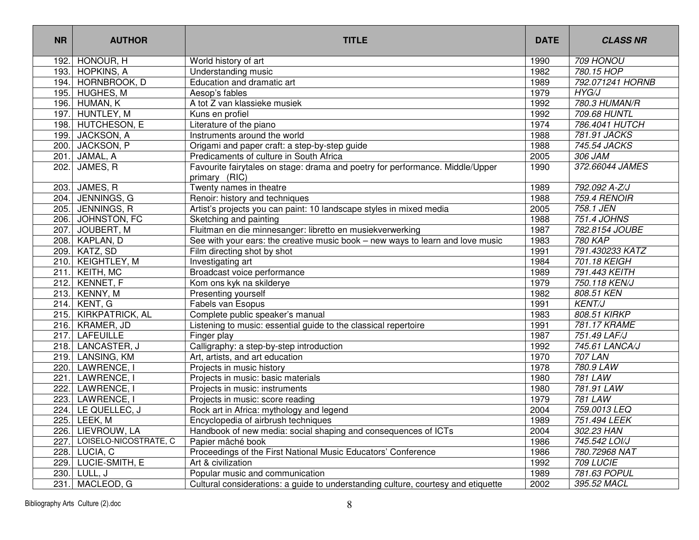| <b>NR</b> | <b>AUTHOR</b>         | <b>TITLE</b>                                                                                   | <b>DATE</b> | <b>CLASS NR</b>  |
|-----------|-----------------------|------------------------------------------------------------------------------------------------|-------------|------------------|
| 192.      | HONOUR, H             | World history of art                                                                           | 1990        | 709 HONOU        |
| 193.      | <b>HOPKINS, A</b>     | Understanding music                                                                            | 1982        | 780.15 HOP       |
| 194.      | HORNBROOK, D          | Education and dramatic art                                                                     | 1989        | 792.071241 HORNB |
| 195.      | HUGHES, M             | Aesop's fables                                                                                 | 1979        | HYG/J            |
| 196.      | HUMAN, K              | A tot Z van klassieke musiek                                                                   | 1992        | 780.3 HUMAN/R    |
| 197.      | HUNTLEY, M            | Kuns en profiel                                                                                | 1992        | 709.68 HUNTL     |
| 198.      | HUTCHESON, E          | Literature of the piano                                                                        | 1974        | 786.4041 HUTCH   |
| 199.      | JACKSON, A            | Instruments around the world                                                                   | 1988        | 781.91 JACKS     |
| 200.      | JACKSON, P            | Origami and paper craft: a step-by-step guide                                                  | 1988        | 745.54 JACKS     |
| 201       | JAMAL, A              | Predicaments of culture in South Africa                                                        | 2005        | 306 JAM          |
| 202.      | JAMES, R              | Favourite fairytales on stage: drama and poetry for performance. Middle/Upper<br>primary (RIC) | 1990        | 372.66044 JAMES  |
| 203.      | JAMES, R              | Twenty names in theatre                                                                        | 1989        | 792.092 A-Z/J    |
| 204.      | JENNINGS, G           | Renoir: history and techniques                                                                 | 1988        | 759.4 RENOIR     |
| 205.      | JENNINGS, R           | Artist's projects you can paint: 10 landscape styles in mixed media                            | 2005        | 758.1 JEN        |
| 206.      | JOHNSTON, FC          | Sketching and painting                                                                         | 1988        | 751.4 JOHNS      |
| 207.      | JOUBERT, M            | Fluitman en die minnesanger: libretto en musiekverwerking                                      | 1987        | 782.8154 JOUBE   |
| 208.      | KAPLAN, D             | See with your ears: the creative music book – new ways to learn and love music                 | 1983        | <b>780 KAP</b>   |
| 209.      | KATZ, SD              | Film directing shot by shot                                                                    | 1991        | 791.430233 KATZ  |
| 210.      | <b>KEIGHTLEY, M</b>   | Investigating art                                                                              | 1984        | 701.18 KEIGH     |
| 211.      | KEITH, MC             | Broadcast voice performance                                                                    | 1989        | 791.443 KEITH    |
| 212.      | KENNET, F             | Kom ons kyk na skilderye                                                                       | 1979        | 750.118 KEN/J    |
| 213.      | KENNY, M              | Presenting yourself                                                                            | 1982        | 808.51 KEN       |
| 214.      | KENT, G               | Fabels van Esopus                                                                              | 1991        | <b>KENT/J</b>    |
| 215.      | KIRKPATRICK, AL       | Complete public speaker's manual                                                               | 1983        | 808.51 KIRKP     |
| 216.      | KRAMER, JD            | Listening to music: essential guide to the classical repertoire                                | 1991        | 781.17 KRAME     |
| 217.      | <b>LAFEUILLE</b>      | Finger play                                                                                    | 1987        | 751.49 LAF/J     |
| 218.      | LANCASTER, J          | Calligraphy: a step-by-step introduction                                                       | 1992        | 745.61 LANCA/J   |
| 219.      | LANSING, KM           | Art, artists, and art education                                                                | 1970        | <b>707 LAN</b>   |
| 220.      | LAWRENCE, I           | Projects in music history                                                                      | 1978        | 780.9 LAW        |
| 221       | LAWRENCE, I           | Projects in music: basic materials                                                             | 1980        | 781 LAW          |
| 222       | LAWRENCE, I           | Projects in music: instruments                                                                 | 1980        | 781.91 LAW       |
| 223.      | <b>LAWRENCE, I</b>    | Projects in music: score reading                                                               | 1979        | 781 LAW          |
| 224.      | LE QUELLEC, J         | Rock art in Africa: mythology and legend                                                       | 2004        | 759.0013 LEQ     |
|           | 225. LEEK, M          | Encyclopedia of airbrush techniques                                                            | 1989        | 751.494 LEEK     |
| 226.      | LIEVROUW, LA          | Handbook of new media: social shaping and consequences of ICTs                                 | 2004        | 302.23 HAN       |
| 227.      | LOISELO-NICOSTRATE, C | Papier mâché book                                                                              | 1986        | 745.542 LOI/J    |
| 228.      | LUCIA, C              | Proceedings of the First National Music Educators' Conference                                  | 1986        | 780.72968 NAT    |
| 229.      | LUCIE-SMITH, E        | Art & civilization                                                                             | 1992        | 709 LUCIE        |
| 230.      | LULL, J               | Popular music and communication                                                                | 1989        | 781.63 POPUL     |
| 231.      | MACLEOD, G            | Cultural considerations: a guide to understanding culture, courtesy and etiquette              | 2002        | 395.52 MACL      |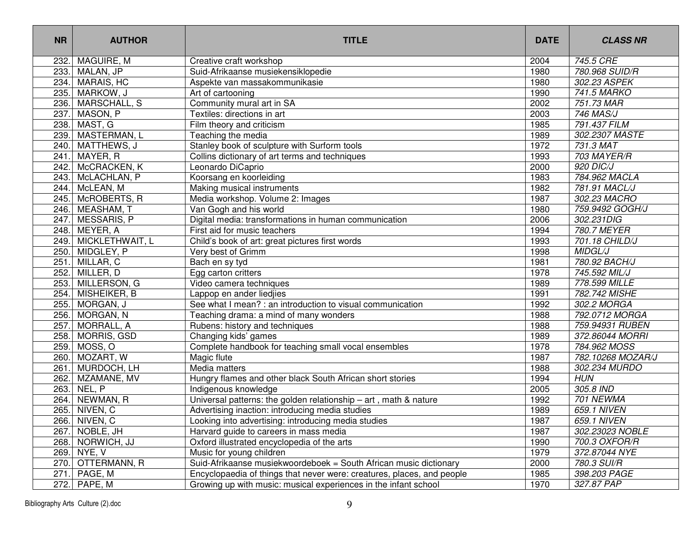| <b>NR</b> | <b>AUTHOR</b>     | <b>TITLE</b>                                                           | <b>DATE</b> | <b>CLASS NR</b>   |
|-----------|-------------------|------------------------------------------------------------------------|-------------|-------------------|
| 232.      | MAGUIRE, M        | Creative craft workshop                                                | 2004        | 745.5 CRE         |
| 233.      | MALAN, JP         | Suid-Afrikaanse musiekensiklopedie                                     | 1980        | 780.968 SUID/R    |
| 234.      | <b>MARAIS, HC</b> | Aspekte van massakommunikasie                                          | 1980        | 302.23 ASPEK      |
| 235.      | MARKOW, J         | Art of cartooning                                                      | 1990        | 741.5 MARKO       |
| 236.      | MARSCHALL, S      | Community mural art in SA                                              | 2002        | 751.73 MAR        |
| 237.      | MASON, P          | Textiles: directions in art                                            | 2003        | 746 MAS/J         |
| 238.      | MAST, G           | Film theory and criticism                                              | 1985        | 791.437 FILM      |
| 239.      | MASTERMAN, L      | Teaching the media                                                     | 1989        | 302.2307 MASTE    |
| 240.      | MATTHEWS, J       | Stanley book of sculpture with Surform tools                           | 1972        | 731.3 MAT         |
| 241.      | MAYER, R          | Collins dictionary of art terms and techniques                         | 1993        | 703 MAYER/R       |
| 242.      | McCRACKEN, K      | Leonardo DiCaprio                                                      | 2000        | 920 DIC/J         |
| 243.      | McLACHLAN, P      | Koorsang en koorleiding                                                | 1983        | 784.962 MACLA     |
| 244.      | McLEAN, M         | Making musical instruments                                             | 1982        | 781.91 MACL/J     |
| 245.      | McROBERTS, R      | Media workshop. Volume 2: Images                                       | 1987        | 302.23 MACRO      |
| 246.      | MEASHAM, T        | Van Gogh and his world                                                 | 1980        | 759.9492 GOGH/J   |
| 247.      | MESSARIS, P       | Digital media: transformations in human communication                  | 2006        | 302.231DIG        |
| 248.      | MEYER, A          | First aid for music teachers                                           | 1994        | 780.7 MEYER       |
| 249.      | MICKLETHWAIT, L   | Child's book of art: great pictures first words                        | 1993        | 701.18 CHILD/J    |
| 250.      | MIDGLEY, P        | Very best of Grimm                                                     | 1998        | <b>MIDGL/J</b>    |
| 251.      | MILLAR, C         | Bach en sy tyd                                                         | 1981        | 780.92 BACH/J     |
| 252.      | MILLER, D         | Egg carton critters                                                    | 1978        | 745.592 MIL/J     |
| 253.      | MILLERSON, G      | Video camera techniques                                                | 1989        | 778.599 MILLE     |
| 254.      | MISHEIKER, B      | Lappop en ander liedjies                                               | 1991        | 782.742 MISHE     |
| 255.      | MORGAN, J         | See what I mean? : an introduction to visual communication             | 1992        | 302.2 MORGA       |
| 256.      | MORGAN, N         | Teaching drama: a mind of many wonders                                 | 1988        | 792.0712 MORGA    |
| 257.      | MORRALL, A        | Rubens: history and techniques                                         | 1988        | 759.94931 RUBEN   |
| 258.      | MORRIS, GSD       | Changing kids' games                                                   | 1989        | 372.86044 MORRI   |
| 259.      | MOSS, O           | Complete handbook for teaching small vocal ensembles                   | 1978        | 784.962 MOSS      |
| 260.      | MOZART, W         | Magic flute                                                            | 1987        | 782.10268 MOZAR/J |
| 261       | MURDOCH, LH       | Media matters                                                          | 1988        | 302.234 MURDO     |
| 262.      | MZAMANE, MV       | Hungry flames and other black South African short stories              | 1994        | <b>HUN</b>        |
| 263.      | NEL, P            | Indigenous knowledge                                                   | 2005        | 305.8 IND         |
| 264.      | NEWMAN, R         | Universal patterns: the golden relationship $-$ art, math & nature     | 1992        | 701 NEWMA         |
| 265.      | NIVEN, C          | Advertising inaction: introducing media studies                        | 1989        | 659.1 NIVEN       |
|           | 266. NIVEN, C     | Looking into advertising: introducing media studies                    | 1987        | 659.1 NIVEN       |
|           | 267. NOBLE, JH    | Harvard guide to careers in mass media                                 | 1987        | 302.23023 NOBLE   |
|           | 268. NORWICH, JJ  | Oxford illustrated encyclopedia of the arts                            | 1990        | 700.3 OXFOR/R     |
|           | 269. NYE, V       | Music for young children                                               | 1979        | 372.87044 NYE     |
|           | 270. OTTERMANN, R | Suid-Afrikaanse musiekwoordeboek = South African music dictionary      | 2000        | 780.3 SUI/R       |
| 271.      | PAGE, M           | Encyclopaedia of things that never were: creatures, places, and people | 1985        | 398.203 PAGE      |
|           | 272. PAPE, M      | Growing up with music: musical experiences in the infant school        | 1970        | 327.87 PAP        |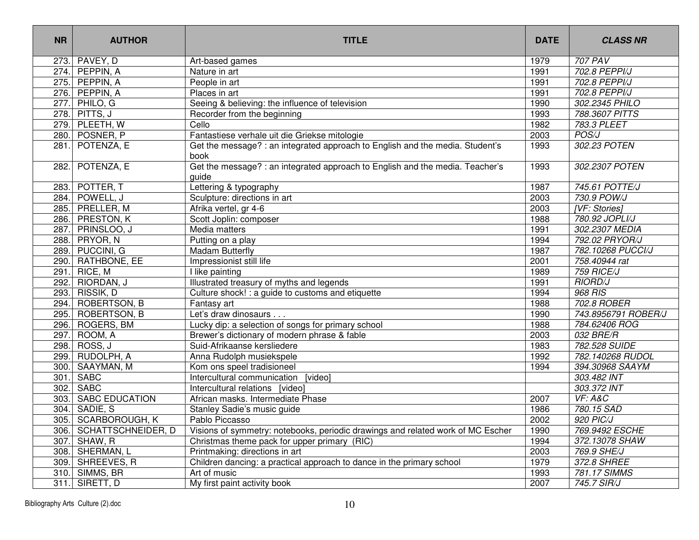| <b>NR</b> | <b>AUTHOR</b>           | <b>TITLE</b>                                                                           | <b>DATE</b> | <b>CLASS NR</b>     |
|-----------|-------------------------|----------------------------------------------------------------------------------------|-------------|---------------------|
|           | 273. PAVEY, D           | Art-based games                                                                        | 1979        | 707 PAV             |
|           | 274. PEPPIN, A          | Nature in art                                                                          | 1991        | 702.8 PEPPI/J       |
|           | 275. PEPPIN, A          | People in art                                                                          | 1991        | 702.8 PEPPI/J       |
|           | 276. PEPPIN, A          | Places in art                                                                          | 1991        | 702.8 PEPPI/J       |
|           | 277. PHILO, G           | Seeing & believing: the influence of television                                        | 1990        | 302.2345 PHILO      |
|           | 278. PITTS, J           | Recorder from the beginning                                                            | 1993        | 788.3607 PITTS      |
|           | 279. PLEETH, W          | Cello                                                                                  | 1982        | 783.3 PLEET         |
|           | 280. POSNER, P          | Fantastiese verhale uit die Griekse mitologie                                          | 2003        | POS/J               |
|           | 281. POTENZA, E         | Get the message? : an integrated approach to English and the media. Student's<br>book  | 1993        | 302.23 POTEN        |
|           | 282. POTENZA, E         | Get the message? : an integrated approach to English and the media. Teacher's<br>guide | 1993        | 302.2307 POTEN      |
| 283.      | POTTER, T               | Lettering & typography                                                                 | 1987        | 745.61 POTTE/J      |
| 284.      | POWELL, J               | Sculpture: directions in art                                                           | 2003        | 730.9 POW/J         |
|           | 285. PRELLER, M         | Afrika vertel, gr 4-6                                                                  | 2003        | [VF: Stories]       |
| 286.      | <b>PRESTON, K</b>       | Scott Joplin: composer                                                                 | 1988        | 780.92 JOPLI/J      |
| 287.      | PRINSLOO, J             | Media matters                                                                          | 1991        | 302.2307 MEDIA      |
| 288.      | PRYOR, N                | Putting on a play                                                                      | 1994        | 792.02 PRYOR/J      |
| 289.      | PUCCINI, G              | Madam Butterfly                                                                        | 1987        | 782.10268 PUCCI/J   |
| 290.      | RATHBONE, EE            | Impressionist still life                                                               | 2001        | 758.40944 rat       |
| 291.      | RICE, M                 | I like painting                                                                        | 1989        | 759 RICE/J          |
|           | 292. RIORDAN, J         | Illustrated treasury of myths and legends                                              | 1991        | <b>RIORD/J</b>      |
| 293.      | <b>RISSIK, D</b>        | Culture shock! : a guide to customs and etiquette                                      | 1994        | 968 RIS             |
|           | 294. ROBERTSON, B       | Fantasy art                                                                            | 1988        | 702.8 ROBER         |
|           | 295. ROBERTSON, B       | Let's draw dinosaurs                                                                   | 1990        | 743.8956791 ROBER/J |
|           | 296. ROGERS, BM         | Lucky dip: a selection of songs for primary school                                     | 1988        | 784.62406 ROG       |
| 297.      | ROOM, A                 | Brewer's dictionary of modern phrase & fable                                           | 2003        | 032 BRE/R           |
| 298.      | ROSS, J                 | Suid-Afrikaanse kersliedere                                                            | 1983        | 782.528 SUIDE       |
|           | 299. RUDOLPH, A         | Anna Rudolph musiekspele                                                               | 1992        | 782.140268 RUDOL    |
| 300.      | SAAYMAN, M              | Kom ons speel tradisioneel                                                             | 1994        | 394.30968 SAAYM     |
| 301       | <b>SABC</b>             | Intercultural communication<br>[video]                                                 |             | 303.482 INT         |
|           | 302. SABC               | Intercultural relations [video]                                                        |             | 303.372 INT         |
|           | 303. SABC EDUCATION     | African masks. Intermediate Phase                                                      | 2007        | VF: A&C             |
|           | 304. SADIE, S           | Stanley Sadie's music guide                                                            | 1986        | 780.15 SAD          |
|           | 305. SCARBOROUGH, K     | Pablo Piccasso                                                                         | 2002        | 920 PIC/J           |
|           | 306. SCHATTSCHNEIDER, D | Visions of symmetry: notebooks, periodic drawings and related work of MC Escher        | 1990        | 769.9492 ESCHE      |
|           | 307. SHAW, R            | Christmas theme pack for upper primary (RIC)                                           | 1994        | 372.13078 SHAW      |
|           | 308. SHERMAN, L         | Printmaking: directions in art                                                         | 2003        | 769.9 SHE/J         |
|           | 309. SHREEVES, R        | Children dancing: a practical approach to dance in the primary school                  | 1979        | 372.8 SHREE         |
|           | 310. SIMMS, BR          | Art of music                                                                           | 1993        | 781.17 SIMMS        |
|           | $311.$ SIRETT, D        | My first paint activity book                                                           | 2007        | 745.7 SIR/J         |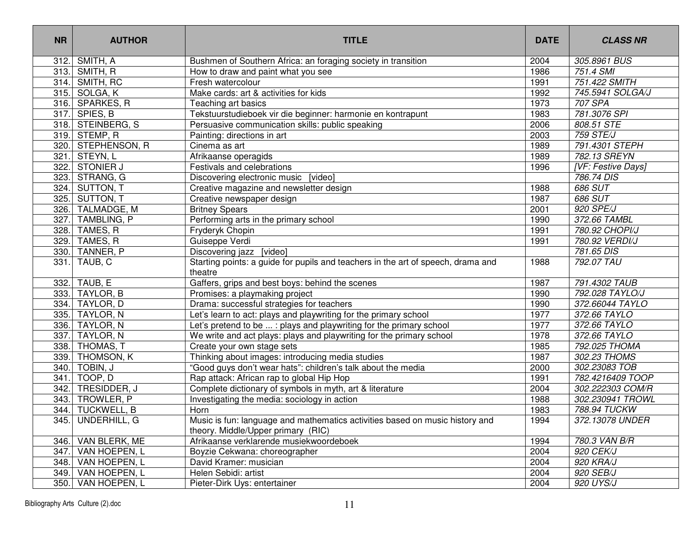| <b>NR</b> | <b>AUTHOR</b>      | <b>TITLE</b>                                                                                                       | <b>DATE</b> | <b>CLASS NR</b>           |
|-----------|--------------------|--------------------------------------------------------------------------------------------------------------------|-------------|---------------------------|
|           | 312. SMITH, A      | Bushmen of Southern Africa: an foraging society in transition                                                      | 2004        | 305.8961 BUS              |
|           | 313. SMITH, R      | How to draw and paint what you see                                                                                 | 1986        | 751.4 SMI                 |
|           | 314. SMITH, RC     | Fresh watercolour                                                                                                  | 1991        | 751.422 SMITH             |
|           | 315. SOLGA, K      | Make cards: art & activities for kids                                                                              | 1992        | 745.5941 SOLGA/J          |
|           | 316. SPARKES, R    | Teaching art basics                                                                                                | 1973        | 707 SPA                   |
|           | 317. SPIES, B      | Tekstuurstudieboek vir die beginner: harmonie en kontrapunt                                                        | 1983        | 781.3076 SPI              |
|           | 318. STEINBERG, S  | Persuasive communication skills: public speaking                                                                   | 2006        | 808.51 STE                |
|           | 319. STEMP, R      | Painting: directions in art                                                                                        | 2003        | <b>759 STE/J</b>          |
|           | 320. STEPHENSON, R | Cinema as art                                                                                                      | 1989        | 791.4301 STEPH            |
| 321.      | STEYN, L           | Afrikaanse operagids                                                                                               | 1989        | 782.13 SREYN              |
| 322.      | <b>STONIER J</b>   | Festivals and celebrations                                                                                         | 1996        | <b>IVF: Festive Days]</b> |
|           | 323. STRANG, G     | Discovering electronic music [video]                                                                               |             | 786.74 DIS                |
| 324.      | SUTTON, T          | Creative magazine and newsletter design                                                                            | 1988        | 686 SUT                   |
|           | 325. SUTTON, T     | Creative newspaper design                                                                                          | 1987        | 686 SUT                   |
|           | 326. TALMADGE, M   | <b>Britney Spears</b>                                                                                              | 2001        | 920 SPE/J                 |
| 327.      | TAMBLING, P        | Performing arts in the primary school                                                                              | 1990        | 372.66 TAMBL              |
|           | 328. TAMES, R      | Fryderyk Chopin                                                                                                    | 1991        | 780.92 CHOPI/J            |
|           | 329. TAMES, R      | Guiseppe Verdi                                                                                                     | 1991        | 780.92 VERDI/J            |
|           | 330. TANNER, P     | Discovering jazz [video]                                                                                           |             | 781.65 DIS                |
|           | 331. TAUB, C       | Starting points: a guide for pupils and teachers in the art of speech, drama and<br>theatre                        | 1988        | 792.07 TAU                |
|           | 332. TAUB, E       | Gaffers, grips and best boys: behind the scenes                                                                    | 1987        | 791.4302 TAUB             |
|           | 333. TAYLOR, B     | Promises: a playmaking project                                                                                     | 1990        | 792.028 TAYLO/J           |
|           | 334. TAYLOR, D     | Drama: successful strategies for teachers                                                                          | 1990        | 372.66044 TAYLO           |
|           | 335. TAYLOR, N     | Let's learn to act: plays and playwriting for the primary school                                                   | 1977        | 372.66 TAYLO              |
|           | 336. TAYLOR, N     | Let's pretend to be  : plays and playwriting for the primary school                                                | 1977        | 372.66 TAYLO              |
|           | 337. TAYLOR, N     | We write and act plays: plays and playwriting for the primary school                                               | 1978        | 372.66 TAYLO              |
|           | 338. THOMAS, T     | Create your own stage sets                                                                                         | 1985        | 792.025 THOMA             |
|           | 339. THOMSON, K    | Thinking about images: introducing media studies                                                                   | 1987        | 302.23 THOMS              |
|           | 340. TOBIN, J      | "Good guys don't wear hats": children's talk about the media                                                       | 2000        | 302.23083 TOB             |
| 341.      | TOOP, D            | Rap attack: African rap to global Hip Hop                                                                          | 1991        | 782.4216409 TOOP          |
| 342.      | TRESIDDER, J       | Complete dictionary of symbols in myth, art & literature                                                           | 2004        | 302.222303 COM/R          |
| 343.      | TROWLER, P         | Investigating the media: sociology in action                                                                       | 1988        | 302.230941 TROWL          |
| 344.      | TUCKWELL, B        | Horn                                                                                                               | 1983        | 788.94 TUCKW              |
| 345.      | UNDERHILL, G       | Music is fun: language and mathematics activities based on music history and<br>theory. Middle/Upper primary (RIC) | 1994        | 372.13078 UNDER           |
|           | 346. VAN BLERK, ME | Afrikaanse verklarende musiekwoordeboek                                                                            | 1994        | 780.3 VAN B/R             |
|           | 347. VAN HOEPEN, L | Boyzie Cekwana: choreographer                                                                                      | 2004        | 920 CEK/J                 |
|           | 348. VAN HOEPEN, L | David Kramer: musician                                                                                             | 2004        | 920 KRA/J                 |
| 349.      | VAN HOEPEN, L      | Helen Sebidi: artist                                                                                               | 2004        | 920 SEB/J                 |
|           | 350. VAN HOEPEN, L | Pieter-Dirk Uys: entertainer                                                                                       | 2004        | 920 UYS/J                 |
|           |                    |                                                                                                                    |             |                           |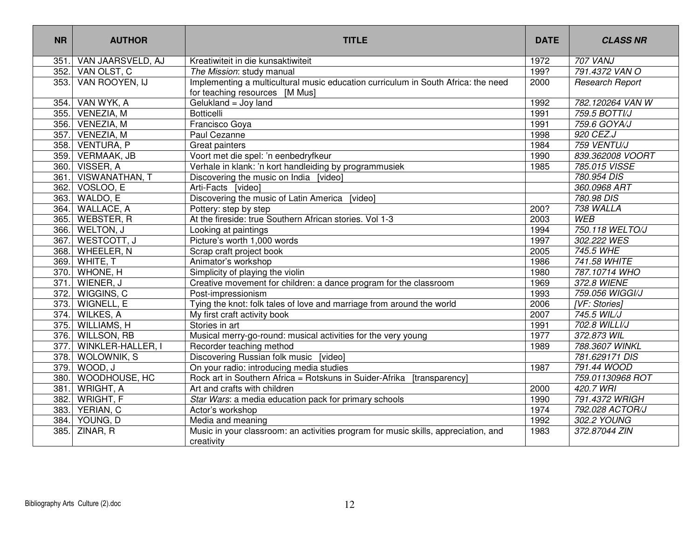| <b>NR</b>          | <b>AUTHOR</b>            | <b>TITLE</b>                                                                                                        | <b>DATE</b> | <b>CLASS NR</b>        |
|--------------------|--------------------------|---------------------------------------------------------------------------------------------------------------------|-------------|------------------------|
| 351.               | VAN JAARSVELD, AJ        | Kreatiwiteit in die kunsaktiwiteit                                                                                  | 1972        | <b>707 VANJ</b>        |
| 352.               | VAN OLST, C              | The Mission: study manual                                                                                           | 199?        | 791.4372 VAN O         |
| $\overline{353}$ . | VAN ROOYEN, IJ           | Implementing a multicultural music education curriculum in South Africa: the need<br>for teaching resources [M Mus] | 2000        | <b>Research Report</b> |
| 354.               | VAN WYK, A               | Gelukland = Joy land                                                                                                | 1992        | 782.120264 VAN W       |
| 355.               | VENEZIA, M               | <b>Botticelli</b>                                                                                                   | 1991        | 759.5 BOTTI/J          |
| 356.               | VENEZIA, M               | Francisco Goya                                                                                                      | 1991        | 759.6 GOYA/J           |
| 357.               | VENEZIA, M               | Paul Cezanne                                                                                                        | 1998        | 920 CEZ.J              |
| 358.               | VENTURA, P               | Great painters                                                                                                      | 1984        | 759 VENTU/J            |
| 359.               | VERMAAK, JB              | Voort met die spel: 'n eenbedryfkeur                                                                                | 1990        | 839.362008 VOORT       |
| 360.               | VISSER, A                | Verhale in klank: 'n kort handleiding by programmusiek                                                              | 1985        | 785.015 VISSE          |
| 361.               | VISWANATHAN, T           | Discovering the music on India [video]                                                                              |             | 780.954 DIS            |
| 362.               | VOSLOO, E                | Arti-Facts [video]                                                                                                  |             | 360.0968 ART           |
| 363.               | WALDO, E                 | Discovering the music of Latin America [video]                                                                      |             | 780.98 DIS             |
| 364.               | <b>WALLACE, A</b>        | Pottery: step by step                                                                                               | 200?        | 738 WALLA              |
| 365.               | <b>WEBSTER, R</b>        | At the fireside: true Southern African stories. Vol 1-3                                                             | 2003        | <b>WEB</b>             |
| 366.               | WELTON, J                | Looking at paintings                                                                                                | 1994        | 750.118 WELTO/J        |
| 367.               | WESTCOTT, J              | Picture's worth 1,000 words                                                                                         | 1997        | 302.222 WES            |
| 368.               | WHEELER, N               | Scrap craft project book                                                                                            | 2005        | 745.5 WHE              |
| 369.               | WHITE, T                 | Animator's workshop                                                                                                 | 1986        | 741.58 WHITE           |
| 370.               | WHONE, H                 | Simplicity of playing the violin                                                                                    | 1980        | 787.10714 WHO          |
| 371.               | WIENER, J                | Creative movement for children: a dance program for the classroom                                                   | 1969        | 372.8 WIENE            |
| 372.               | WIGGINS, C               | Post-impressionism                                                                                                  | 1993        | 759.056 WIGGI/J        |
| 373.               | WIGNELL, E               | Tying the knot: folk tales of love and marriage from around the world                                               | 2006        | <b>[VF: Stories]</b>   |
| 374.               | WILKES, A                | My first craft activity book                                                                                        | 2007        | 745.5 WIL/J            |
| 375.               | WILLIAMS, H              | Stories in art                                                                                                      | 1991        | 702.8 WILLI/J          |
| 376.               | WILLSON, RB              | Musical merry-go-round: musical activities for the very young                                                       | 1977        | 372.873 WIL            |
| 377.               | <b>WINKLER-HALLER, I</b> | Recorder teaching method                                                                                            | 1989        | 788.3607 WINKL         |
| 378.               | <b>WOLOWNIK, S</b>       | Discovering Russian folk music [video]                                                                              |             | 781.629171 DIS         |
| 379.               | WOOD, J                  | On your radio: introducing media studies                                                                            | 1987        | 791.44 WOOD            |
| 380.               | WOODHOUSE, HC            | Rock art in Southern Africa = Rotskuns in Suider-Afrika [transparency]                                              |             | 759.01130968 ROT       |
| 381.               | WRIGHT, A                | Art and crafts with children                                                                                        | 2000        | 420.7 WRI              |
| 382.               | WRIGHT, F                | Star Wars: a media education pack for primary schools                                                               | 1990        | 791.4372 WRIGH         |
| 383.               | YERIAN, C                | Actor's workshop                                                                                                    | 1974        | 792.028 ACTOR/J        |
| 384.               | YOUNG, D                 | Media and meaning                                                                                                   | 1992        | 302.2 YOUNG            |
| 385.               | ZINAR, R                 | Music in your classroom: an activities program for music skills, appreciation, and<br>creativity                    | 1983        | 372.87044 ZIN          |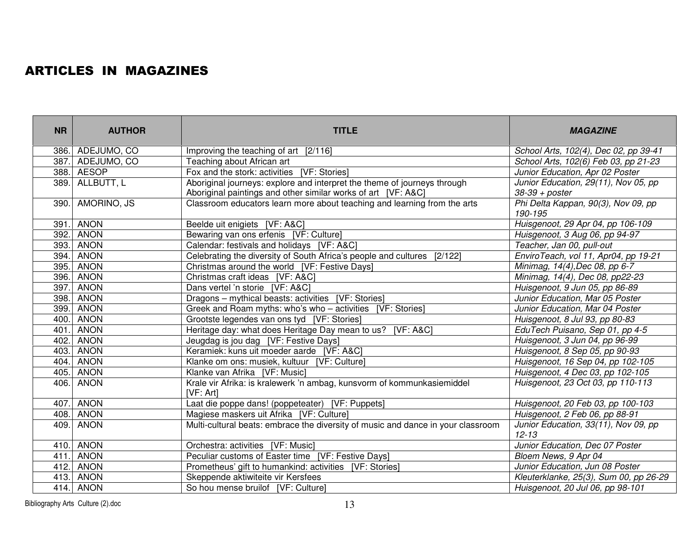## ARTICLES IN MAGAZINES

| <b>NR</b> | <b>AUTHOR</b>    | <b>TITLE</b>                                                                                                                              | <b>MAGAZINE</b>                                          |
|-----------|------------------|-------------------------------------------------------------------------------------------------------------------------------------------|----------------------------------------------------------|
|           | 386. ADEJUMO, CO | Improving the teaching of art [2/116]                                                                                                     | School Arts, 102(4), Dec 02, pp 39-41                    |
|           | 387. ADEJUMO, CO | Teaching about African art                                                                                                                | School Arts, 102(6) Feb 03, pp 21-23                     |
|           | 388. AESOP       | Fox and the stork: activities [VF: Stories]                                                                                               | Junior Education, Apr 02 Poster                          |
| 389.      | ALLBUTT, L       | Aboriginal journeys: explore and interpret the theme of journeys through<br>Aboriginal paintings and other similar works of art [VF: A&C] | Junior Education, 29(11), Nov 05, pp<br>$38-39 + poster$ |
| 390.      | AMORINO, JS      | Classroom educators learn more about teaching and learning from the arts                                                                  | Phi Delta Kappan, 90(3), Nov 09, pp<br>190-195           |
| 391       | <b>ANON</b>      | Beelde uit enigiets [VF: A&C]                                                                                                             | Huisgenoot, 29 Apr 04, pp 106-109                        |
|           | 392. ANON        | Bewaring van ons erfenis [VF: Culture]                                                                                                    | Huisgenoot, 3 Aug 06, pp 94-97                           |
| 393.      | ANON             | Calendar: festivals and holidays [VF: A&C]                                                                                                | Teacher, Jan 00, pull-out                                |
|           | 394. ANON        | Celebrating the diversity of South Africa's people and cultures<br>[2/122]                                                                | EnviroTeach, vol 11, Apr04, pp 19-21                     |
| 395.      | <b>ANON</b>      | Christmas around the world [VF: Festive Days]                                                                                             | Minimag, 14(4), Dec 08, pp 6-7                           |
|           | 396. ANON        | Christmas craft ideas [VF: A&C]                                                                                                           | Minimag, 14(4), Dec 08, pp22-23                          |
| 397.      | ANON             | Dans vertel 'n storie [VF: A&C]                                                                                                           | Huisgenoot, 9 Jun 05, pp 86-89                           |
| 398.      | <b>ANON</b>      | Dragons - mythical beasts: activities [VF: Stories]                                                                                       | Junior Education, Mar 05 Poster                          |
| 399.      | <b>ANON</b>      | Greek and Roam myths: who's who - activities [VF: Stories]                                                                                | Junior Education, Mar 04 Poster                          |
| 400.      | <b>ANON</b>      | Grootste legendes van ons tyd [VF: Stories]                                                                                               | Huisgenoot, 8 Jul 93, pp 80-83                           |
| 401       | <b>ANON</b>      | Heritage day: what does Heritage Day mean to us? [VF: A&C]                                                                                | EduTech Puisano, Sep 01, pp 4-5                          |
| 402.      | <b>ANON</b>      | Jeugdag is jou dag [VF: Festive Days]                                                                                                     | Huisgenoot, 3 Jun 04, pp 96-99                           |
| 403.      | <b>ANON</b>      | Keramiek: kuns uit moeder aarde [VF: A&C]                                                                                                 | Huisgenoot, 8 Sep 05, pp 90-93                           |
|           | 404. ANON        | Klanke om ons: musiek, kultuur [VF: Culture]                                                                                              | Huisgenoot, 16 Sep 04, pp 102-105                        |
|           | 405. ANON        | Klanke van Afrika [VF: Music]                                                                                                             | Huisgenoot, 4 Dec 03, pp 102-105                         |
|           | 406. ANON        | Krale vir Afrika: is kralewerk 'n ambag, kunsvorm of kommunkasiemiddel<br>[VF: Art]                                                       | Huisgenoot, 23 Oct 03, pp 110-113                        |
| 407.      | <b>ANON</b>      | Laat die poppe dans! (poppeteater) [VF: Puppets]                                                                                          | Huisgenoot, 20 Feb 03, pp 100-103                        |
|           | 408. ANON        | Magiese maskers uit Afrika [VF: Culture]                                                                                                  | Huisgenoot, 2 Feb 06, pp 88-91                           |
|           | 409. ANON        | Multi-cultural beats: embrace the diversity of music and dance in your classroom                                                          | Junior Education, 33(11), Nov 09, pp<br>$12 - 13$        |
|           | 410. ANON        | Orchestra: activities [VF: Music]                                                                                                         | Junior Education, Dec 07 Poster                          |
| 411.      | <b>ANON</b>      | Peculiar customs of Easter time [VF: Festive Days]                                                                                        | Bloem News, 9 Apr 04                                     |
|           | 412. ANON        | Prometheus' gift to humankind: activities [VF: Stories]                                                                                   | Junior Education, Jun 08 Poster                          |
|           | 413. ANON        | Skeppende aktiwiteite vir Kersfees                                                                                                        | Kleuterklanke, 25(3), Sum 00, pp 26-29                   |
|           | 414. ANON        | So hou mense bruilof [VF: Culture]                                                                                                        | Huisgenoot, 20 Jul 06, pp 98-101                         |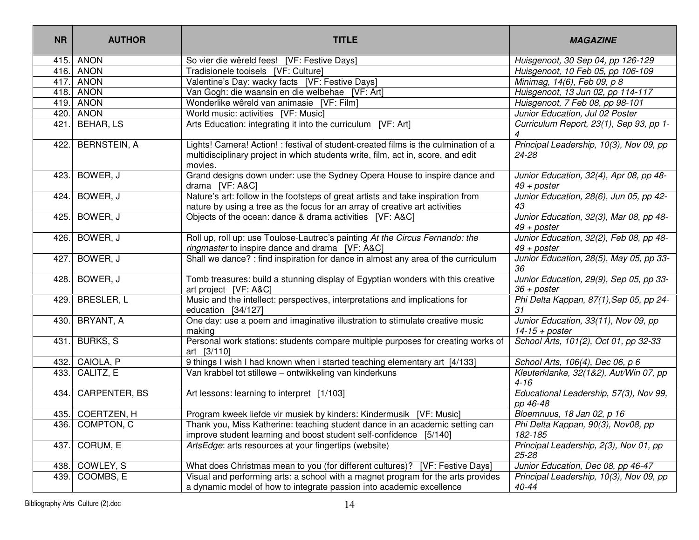| <b>NR</b> | <b>AUTHOR</b>      | <b>TITLE</b>                                                                                                                                                                       | <b>MAGAZINE</b>                                             |
|-----------|--------------------|------------------------------------------------------------------------------------------------------------------------------------------------------------------------------------|-------------------------------------------------------------|
|           | 415. ANON          | So vier die wêreld fees! [VF: Festive Days]                                                                                                                                        | Huisgenoot, 30 Sep 04, pp 126-129                           |
|           | 416. ANON          | Tradisionele tooisels [VF: Culture]                                                                                                                                                | Huisgenoot, 10 Feb 05, pp 106-109                           |
|           | 417. ANON          | Valentine's Day: wacky facts [VF: Festive Days]                                                                                                                                    | Minimag, 14(6), Feb 09, p 8                                 |
|           | 418. ANON          | Van Gogh: die waansin en die welbehae [VF: Art]                                                                                                                                    | Huisgenoot, 13 Jun 02, pp 114-117                           |
|           | 419. ANON          | Wonderlike wêreld van animasie [VF: Film]                                                                                                                                          | Huisgenoot, 7 Feb 08, pp 98-101                             |
|           | 420. ANON          | World music: activities [VF: Music]                                                                                                                                                | Junior Education, Jul 02 Poster                             |
|           | 421. BEHAR, LS     | Arts Education: integrating it into the curriculum [VF: Art]                                                                                                                       | Curriculum Report, 23(1), Sep 93, pp 1-<br>$\overline{4}$   |
|           | 422. BERNSTEIN, A  | Lights! Camera! Action! : festival of student-created films is the culmination of a<br>multidisciplinary project in which students write, film, act in, score, and edit<br>movies. | Principal Leadership, 10(3), Nov 09, pp<br>24-28            |
|           | 423. BOWER, J      | Grand designs down under: use the Sydney Opera House to inspire dance and<br>drama [VF: A&C]                                                                                       | Junior Education, 32(4), Apr 08, pp 48-<br>$49 + poster$    |
| 424.      | BOWER, J           | Nature's art: follow in the footsteps of great artists and take inspiration from<br>nature by using a tree as the focus for an array of creative art activities                    | Junior Education, 28(6), Jun 05, pp 42-<br>43               |
| 425.      | BOWER, J           | Objects of the ocean: dance & drama activities [VF: A&C]                                                                                                                           | Junior Education, 32(3), Mar 08, pp 48-<br>$49 + poster$    |
| 426.      | BOWER, J           | Roll up, roll up: use Toulose-Lautrec's painting At the Circus Fernando: the<br>ringmaster to inspire dance and drama [VF: A&C]                                                    | Junior Education, 32(2), Feb 08, pp 48-<br>$49 + poster$    |
|           | 427. BOWER, J      | Shall we dance? : find inspiration for dance in almost any area of the curriculum                                                                                                  | Junior Education, 28(5), May 05, pp 33-<br>36               |
|           | 428. BOWER, J      | Tomb treasures: build a stunning display of Egyptian wonders with this creative<br>art project [VF: A&C]                                                                           | Junior Education, 29(9), Sep 05, pp 33-<br>$36 + posterior$ |
| 429.      | BRESLER, L         | Music and the intellect: perspectives, interpretations and implications for<br>education [34/127]                                                                                  | Phi Delta Kappan, 87(1), Sep 05, pp 24-<br>31               |
|           | 430. BRYANT, A     | One day: use a poem and imaginative illustration to stimulate creative music<br>making                                                                                             | Junior Education, 33(11), Nov 09, pp<br>$14-15 + poster$    |
|           | 431. BURKS, S      | Personal work stations: students compare multiple purposes for creating works of<br>art [3/110]                                                                                    | School Arts, 101(2), Oct 01, pp 32-33                       |
|           | 432. CAIOLA, P     | 9 things I wish I had known when i started teaching elementary art [4/133]                                                                                                         | School Arts, 106(4), Dec 06, p 6                            |
|           | 433. CALITZ, E     | Van krabbel tot stillewe - ontwikkeling van kinderkuns                                                                                                                             | Kleuterklanke, 32(1&2), Aut/Win 07, pp<br>$4 - 16$          |
|           | 434. CARPENTER, BS | Art lessons: learning to interpret [1/103]                                                                                                                                         | Educational Leadership, 57(3), Nov 99,<br>pp 46-48          |
|           | 435. COERTZEN, H   | Program kweek liefde vir musiek by kinders: Kindermusik [VF: Music]                                                                                                                | Bloemnuus, 18 Jan 02, p 16                                  |
|           | 436. COMPTON, C    | Thank you, Miss Katherine: teaching student dance in an academic setting can<br>improve student learning and boost student self-confidence [5/140]                                 | Phi Delta Kappan, 90(3), Nov08, pp<br>182-185               |
|           | 437. CORUM, E      | ArtsEdge: arts resources at your fingertips (website)                                                                                                                              | Principal Leadership, 2(3), Nov 01, pp<br>$25 - 28$         |
| 438.      | COWLEY, S          | What does Christmas mean to you (for different cultures)? [VF: Festive Days]                                                                                                       | Junior Education, Dec 08, pp 46-47                          |
| 439.      | COOMBS, E          | Visual and performing arts: a school with a magnet program for the arts provides<br>a dynamic model of how to integrate passion into academic excellence                           | Principal Leadership, 10(3), Nov 09, pp<br>40-44            |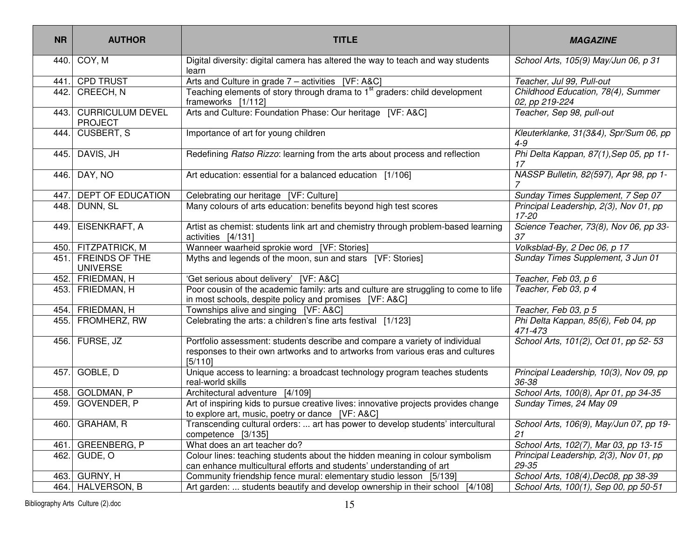| <b>NR</b> | <b>AUTHOR</b>                             | <b>TITLE</b>                                                                                                                                                                                            | <b>MAGAZINE</b>                                      |  |
|-----------|-------------------------------------------|---------------------------------------------------------------------------------------------------------------------------------------------------------------------------------------------------------|------------------------------------------------------|--|
| 440.      | COY, M                                    | Digital diversity: digital camera has altered the way to teach and way students<br>learn                                                                                                                | School Arts, 105(9) May/Jun 06, p 31                 |  |
| 441       | <b>CPD TRUST</b>                          | Arts and Culture in grade 7 - activities [VF: A&C]                                                                                                                                                      | Teacher, Jul 99, Pull-out                            |  |
| 442.      | CREECH, N                                 | Teaching elements of story through drama to 1 <sup>st</sup> graders: child development<br>frameworks [1/112]                                                                                            | Childhood Education, 78(4), Summer<br>02, pp 219-224 |  |
| 443.      | <b>CURRICULUM DEVEL</b><br><b>PROJECT</b> | Arts and Culture: Foundation Phase: Our heritage [VF: A&C]                                                                                                                                              | Teacher, Sep 98, pull-out                            |  |
| 444.      | <b>CUSBERT, S</b>                         | Importance of art for young children                                                                                                                                                                    | Kleuterklanke, 31(3&4), Spr/Sum 06, pp<br>$4 - 9$    |  |
| 445.      | DAVIS, JH                                 | Redefining Ratso Rizzo: learning from the arts about process and reflection                                                                                                                             | Phi Delta Kappan, 87(1), Sep 05, pp 11-<br>17        |  |
| 446.      | DAY, NO                                   | Art education: essential for a balanced education [1/106]                                                                                                                                               | NASSP Bulletin, 82(597), Apr 98, pp 1-               |  |
| 447.      | <b>DEPT OF EDUCATION</b>                  | Celebrating our heritage [VF: Culture]                                                                                                                                                                  | Sunday Times Supplement, 7 Sep 07                    |  |
| 448.      | DUNN, SL                                  | Many colours of arts education: benefits beyond high test scores                                                                                                                                        | Principal Leadership, 2(3), Nov 01, pp<br>17-20      |  |
| 449.      | EISENKRAFT, A                             | Artist as chemist: students link art and chemistry through problem-based learning<br>activities [4/131]                                                                                                 | Science Teacher, 73(8), Nov 06, pp 33-<br>37         |  |
| 450.      | <b>FITZPATRICK, M</b>                     | Wanneer waarheid sprokie word [VF: Stories]                                                                                                                                                             | Volksblad-By, 2 Dec 06, p 17                         |  |
| 451.      | <b>FREINDS OF THE</b><br><b>UNIVERSE</b>  | Myths and legends of the moon, sun and stars [VF: Stories]                                                                                                                                              | Sunday Times Supplement, 3 Jun 01                    |  |
|           | 452. FRIEDMAN, H                          | 'Get serious about delivery' [VF: A&C]                                                                                                                                                                  | Teacher, Feb 03, p 6                                 |  |
|           | 453. FRIEDMAN, H                          | Poor cousin of the academic family: arts and culture are struggling to come to life<br>in most schools, despite policy and promises [VF: A&C]                                                           | Teacher, Feb 03, p 4                                 |  |
|           | 454. FRIEDMAN, H                          | Townships alive and singing [VF: A&C]                                                                                                                                                                   | Teacher, Feb 03, p 5                                 |  |
|           | 455. FROMHERZ, RW                         | Celebrating the arts: a children's fine arts festival [1/123]                                                                                                                                           | Phi Delta Kappan, 85(6), Feb 04, pp<br>471-473       |  |
| 456.      | FURSE, JZ                                 | Portfolio assessment: students describe and compare a variety of individual<br>responses to their own artworks and to artworks from various eras and cultures<br>[5/110]                                | School Arts, 101(2), Oct 01, pp 52-53                |  |
| 457.      | GOBLE, D                                  | Unique access to learning: a broadcast technology program teaches students<br>real-world skills                                                                                                         | Principal Leadership, 10(3), Nov 09, pp<br>36-38     |  |
| 458.      | GOLDMAN, P                                | Architectural adventure [4/109]                                                                                                                                                                         | School Arts, 100(8), Apr 01, pp 34-35                |  |
| 459.      | GOVENDER, P                               | Art of inspiring kids to pursue creative lives: innovative projects provides change<br>to explore art, music, poetry or dance [VF: A&C]                                                                 | Sunday Times, 24 May 09                              |  |
|           | 460. GRAHAM, R                            | School Arts, 106(9), May/Jun 07, pp 19-<br>Transcending cultural orders:  art has power to develop students' intercultural<br>competence [3/135]<br>21                                                  |                                                      |  |
| 461       | GREENBERG, P                              | What does an art teacher do?<br>School Arts, 102(7), Mar 03, pp 13-15                                                                                                                                   |                                                      |  |
| 462.      | GUDE, O                                   | Colour lines: teaching students about the hidden meaning in colour symbolism<br>Principal Leadership, 2(3), Nov 01, pp<br>can enhance multicultural efforts and students' understanding of art<br>29-35 |                                                      |  |
| 463.      | GURNY, H                                  | Community friendship fence mural: elementary studio lesson [5/139]<br>School Arts, 108(4), Dec08, pp 38-39                                                                                              |                                                      |  |
|           | 464. HALVERSON, B                         | [4/108]<br>Art garden:  students beautify and develop ownership in their school                                                                                                                         | School Arts, 100(1), Sep 00, pp 50-51                |  |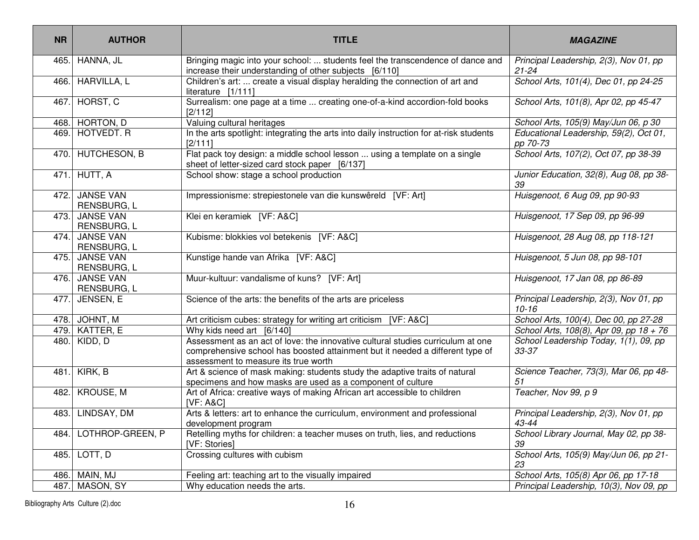| <b>NR</b> | <b>AUTHOR</b>                        | <b>TITLE</b>                                                                                                                                                                                             | <b>MAGAZINE</b>                                     |  |
|-----------|--------------------------------------|----------------------------------------------------------------------------------------------------------------------------------------------------------------------------------------------------------|-----------------------------------------------------|--|
| 465.      | HANNA, JL                            | Bringing magic into your school:  students feel the transcendence of dance and<br>increase their understanding of other subjects [6/110]                                                                 | Principal Leadership, 2(3), Nov 01, pp<br>$21 - 24$ |  |
| 466.      | <b>HARVILLA, L</b>                   | Children's art:  create a visual display heralding the connection of art and<br>literature [1/111]                                                                                                       | School Arts, 101(4), Dec 01, pp 24-25               |  |
| 467.      | HORST, C                             | Surrealism: one page at a time  creating one-of-a-kind accordion-fold books<br>[2/112]                                                                                                                   | School Arts, 101(8), Apr 02, pp 45-47               |  |
| 468.      | HORTON, D                            | Valuing cultural heritages                                                                                                                                                                               | School Arts, 105(9) May/Jun 06, p 30                |  |
| 469.      | HOTVEDT. R                           | In the arts spotlight: integrating the arts into daily instruction for at-risk students<br>[2/111]                                                                                                       | Educational Leadership, 59(2), Oct 01,<br>pp 70-73  |  |
| 470.      | <b>HUTCHESON, B</b>                  | Flat pack toy design: a middle school lesson  using a template on a single<br>sheet of letter-sized card stock paper [6/137]                                                                             | School Arts, 107(2), Oct 07, pp 38-39               |  |
| 471.      | HUTT, A                              | School show: stage a school production                                                                                                                                                                   | Junior Education, 32(8), Aug 08, pp 38-<br>39       |  |
|           | 472. JANSE VAN<br><b>RENSBURG, L</b> | Impressionisme: strepiestonele van die kunswêreld [VF: Art]                                                                                                                                              | Huisgenoot, 6 Aug 09, pp 90-93                      |  |
|           | 473. JANSE VAN<br>RENSBURG, L        | Klei en keramiek [VF: A&C]                                                                                                                                                                               | Huisgenoot, 17 Sep 09, pp 96-99                     |  |
|           | 474. JANSE VAN<br>RENSBURG, L        | Kubisme: blokkies vol betekenis [VF: A&C]                                                                                                                                                                | Huisgenoot, 28 Aug 08, pp 118-121                   |  |
| 475.      | JANSE VAN<br>RENSBURG, L             | Kunstige hande van Afrika [VF: A&C]                                                                                                                                                                      | Huisgenoot, 5 Jun 08, pp 98-101                     |  |
|           | 476. JANSE VAN<br>RENSBURG, L        | Muur-kultuur: vandalisme of kuns? [VF: Art]                                                                                                                                                              | Huisgenoot, 17 Jan 08, pp 86-89                     |  |
| 477.      | JENSEN, E                            | Science of the arts: the benefits of the arts are priceless                                                                                                                                              | Principal Leadership, 2(3), Nov 01, pp<br>$10 - 16$ |  |
|           | 478. JOHNT, M                        | Art criticism cubes: strategy for writing art criticism [VF: A&C]                                                                                                                                        | School Arts, 100(4), Dec 00, pp 27-28               |  |
| 479.      | KATTER, E                            | Why kids need art [6/140]                                                                                                                                                                                | School Arts, 108(8), Apr 09, pp 18 + 76             |  |
| 480.      | KIDD, D                              | Assessment as an act of love: the innovative cultural studies curriculum at one<br>comprehensive school has boosted attainment but it needed a different type of<br>assessment to measure its true worth | School Leadership Today, 1(1), 09, pp<br>33-37      |  |
| 481.      | KIRK, B                              | Art & science of mask making: students study the adaptive traits of natural<br>specimens and how masks are used as a component of culture                                                                | Science Teacher, 73(3), Mar 06, pp 48-<br>51        |  |
| 482.      | KROUSE, M                            | Art of Africa: creative ways of making African art accessible to children<br><b>IVF: A&amp;C1</b>                                                                                                        | Teacher, Nov 99, p 9                                |  |
| 483.      | LINDSAY, DM                          | Arts & letters: art to enhance the curriculum, environment and professional<br>development program                                                                                                       | Principal Leadership, 2(3), Nov 01, pp<br>43-44     |  |
| 484.      | LOTHROP-GREEN, P                     | Retelling myths for children: a teacher muses on truth, lies, and reductions<br>[VF: Stories]                                                                                                            | School Library Journal, May 02, pp 38-<br>39        |  |
| 485.      | LOTT, D                              | Crossing cultures with cubism<br>School Arts, 105(9) May/Jun 06, pp 21-<br>23                                                                                                                            |                                                     |  |
| 486.      | MAIN, MJ                             | Feeling art: teaching art to the visually impaired                                                                                                                                                       | School Arts, 105(8) Apr 06, pp 17-18                |  |
| 487.      | MASON, SY                            | Why education needs the arts.                                                                                                                                                                            | Principal Leadership, 10(3), Nov 09, pp             |  |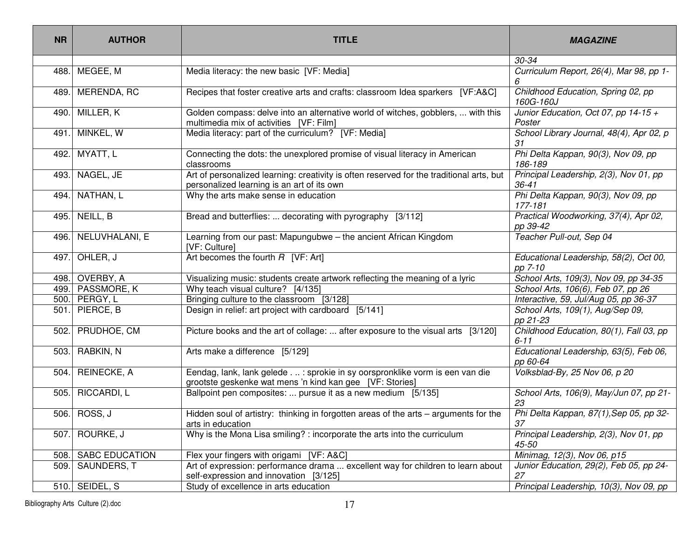| <b>NR</b> | <b>AUTHOR</b>       | <b>TITLE</b>                                                                                                                             | <b>MAGAZINE</b>                                     |  |
|-----------|---------------------|------------------------------------------------------------------------------------------------------------------------------------------|-----------------------------------------------------|--|
|           |                     |                                                                                                                                          | 30-34                                               |  |
| 488.      | MEGEE, M            | Media literacy: the new basic [VF: Media]                                                                                                | Curriculum Report, 26(4), Mar 98, pp 1-<br>6        |  |
| 489.      | MERENDA, RC         | Recipes that foster creative arts and crafts: classroom Idea sparkers [VF:A&C]                                                           | Childhood Education, Spring 02, pp<br>160G-160J     |  |
| 490.      | MILLER, K           | Golden compass: delve into an alternative world of witches, gobblers,  with this<br>multimedia mix of activities [VF: Film]              | Junior Education, Oct 07, pp 14-15 +<br>Poster      |  |
| 491.      | MINKEL, W           | Media literacy: part of the curriculum? [VF: Media]                                                                                      | School Library Journal, 48(4), Apr 02, p<br>31      |  |
| 492.      | MYATT, L            | Connecting the dots: the unexplored promise of visual literacy in American<br>classrooms                                                 | Phi Delta Kappan, 90(3), Nov 09, pp<br>186-189      |  |
| 493.      | NAGEL, JE           | Art of personalized learning: creativity is often reserved for the traditional arts, but<br>personalized learning is an art of its own   | Principal Leadership, 2(3), Nov 01, pp<br>$36 - 41$ |  |
| 494.      | NATHAN, L           | Why the arts make sense in education                                                                                                     | Phi Delta Kappan, 90(3), Nov 09, pp<br>177-181      |  |
| 495.      | NEILL, B            | Bread and butterflies:  decorating with pyrography [3/112]                                                                               | Practical Woodworking, 37(4), Apr 02,<br>pp 39-42   |  |
| 496.      | NELUVHALANI, E      | Learning from our past: Mapungubwe - the ancient African Kingdom<br>[VF: Culture]                                                        | Teacher Pull-out, Sep 04                            |  |
| 497.      | OHLER, J            | Art becomes the fourth $R$ [VF: Art]                                                                                                     | Educational Leadership, 58(2), Oct 00,<br>pp 7-10   |  |
| 498.      | OVERBY, A           | Visualizing music: students create artwork reflecting the meaning of a lyric                                                             | School Arts, 109(3), Nov 09, pp 34-35               |  |
|           | 499. PASSMORE, K    | Why teach visual culture? [4/135]                                                                                                        | School Arts, 106(6), Feb 07, pp 26                  |  |
|           | 500. PERGY, L       | Bringing culture to the classroom [3/128]                                                                                                | Interactive, 59, Jul/Aug 05, pp 36-37               |  |
|           | 501. PIERCE, B      | Design in relief: art project with cardboard [5/141]                                                                                     | School Arts, 109(1), Aug/Sep 09,<br>pp 21-23        |  |
| 502.      | PRUDHOE, CM         | Picture books and the art of collage:  after exposure to the visual arts [3/120]                                                         | Childhood Education, 80(1), Fall 03, pp<br>$6 - 11$ |  |
|           | 503. RABKIN, N      | Arts make a difference [5/129]                                                                                                           | Educational Leadership, 63(5), Feb 06,<br>pp 60-64  |  |
| 504.      | REINECKE, A         | Eendag, lank, lank gelede. : sprokie in sy oorspronklike vorm is een van die<br>grootste geskenke wat mens 'n kind kan gee [VF: Stories] | Volksblad-By, 25 Nov 06, p 20                       |  |
| 505.      | RICCARDI, L         | Ballpoint pen composites:  pursue it as a new medium [5/135]                                                                             | School Arts, 106(9), May/Jun 07, pp 21-<br>23       |  |
|           | 506. ROSS, J        | Hidden soul of artistry: thinking in forgotten areas of the arts - arguments for the<br>arts in education                                | Phi Delta Kappan, 87(1), Sep 05, pp 32-<br>37       |  |
| 507.      | ROURKE, J           | Why is the Mona Lisa smiling? : incorporate the arts into the curriculum                                                                 | Principal Leadership, 2(3), Nov 01, pp<br>45-50     |  |
|           | 508. SABC EDUCATION | Flex your fingers with origami [VF: A&C]                                                                                                 | Minimag, 12(3), Nov 06, p15                         |  |
|           | 509. SAUNDERS, T    | Art of expression: performance drama  excellent way for children to learn about<br>self-expression and innovation [3/125]                | Junior Education, 29(2), Feb 05, pp 24-<br>27       |  |
|           | $510.$ SEIDEL, S    | Study of excellence in arts education                                                                                                    | Principal Leadership, 10(3), Nov 09, pp             |  |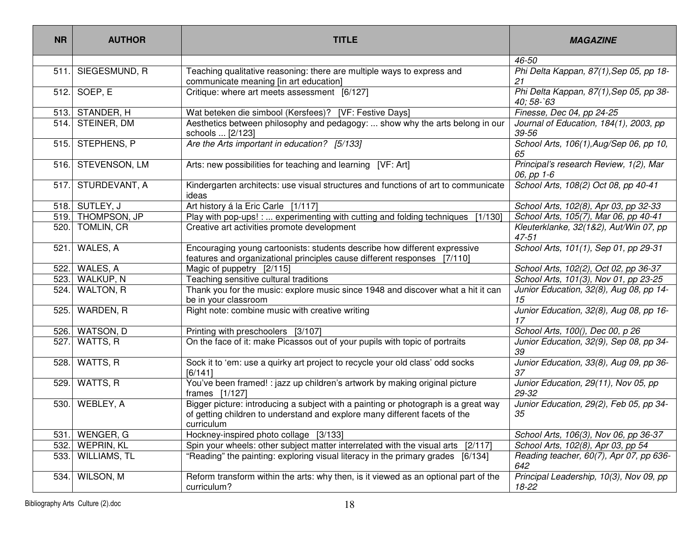| <b>NR</b> | <b>AUTHOR</b>      | <b>TITLE</b>                                                                                                                                                                   | <b>MAGAZINE</b>                                                 |  |
|-----------|--------------------|--------------------------------------------------------------------------------------------------------------------------------------------------------------------------------|-----------------------------------------------------------------|--|
|           |                    |                                                                                                                                                                                | 46-50                                                           |  |
|           | 511. SIEGESMUND, R | Teaching qualitative reasoning: there are multiple ways to express and<br>communicate meaning [in art education]                                                               | Phi Delta Kappan, 87(1), Sep 05, pp 18-<br>21                   |  |
|           | 512. SOEP, E       | Critique: where art meets assessment [6/127]                                                                                                                                   | Phi Delta Kappan, 87(1), Sep 05, pp 38-<br>$40;58-\widehat{63}$ |  |
|           | 513. STANDER, H    | Wat beteken die simbool (Kersfees)? [VF: Festive Days]                                                                                                                         | Finesse, Dec 04, pp 24-25                                       |  |
|           | 514. STEINER, DM   | Aesthetics between philosophy and pedagogy:  show why the arts belong in our<br>schools  [2/123]                                                                               | Journal of Education, 184(1), 2003, pp<br>39-56                 |  |
|           | 515. STEPHENS, P   | Are the Arts important in education? [5/133]                                                                                                                                   | School Arts, 106(1), Aug/Sep 06, pp 10,<br>65                   |  |
|           | 516. STEVENSON, LM | Arts: new possibilities for teaching and learning [VF: Art]                                                                                                                    | Principal's research Review, 1(2), Mar<br>06, pp 1-6            |  |
|           | 517. STURDEVANT, A | Kindergarten architects: use visual structures and functions of art to communicate<br>ideas                                                                                    | School Arts, 108(2) Oct 08, pp 40-41                            |  |
|           | 518. SUTLEY, J     | Art history á la Eric Carle [1/117]                                                                                                                                            | School Arts, 102(8), Apr 03, pp 32-33                           |  |
|           | 519. THOMPSON, JP  | Play with pop-ups! :  experimenting with cutting and folding techniques<br>[1/130]                                                                                             | School Arts, 105(7), Mar 06, pp 40-41                           |  |
| 520.      | <b>TOMLIN, CR</b>  | Creative art activities promote development                                                                                                                                    | Kleuterklanke, 32(1&2), Aut/Win 07, pp<br>$47 - 51$             |  |
| 521.      | WALES, A           | Encouraging young cartoonists: students describe how different expressive<br>features and organizational principles cause different responses [7/110]                          | School Arts, 101(1), Sep 01, pp 29-31                           |  |
|           | 522. WALES, A      | Magic of puppetry [2/115]                                                                                                                                                      | School Arts, 102(2), Oct 02, pp 36-37                           |  |
|           | 523. WALKUP, N     | Teaching sensitive cultural traditions                                                                                                                                         | School Arts, 101(3), Nov 01, pp 23-25                           |  |
| 524.      | <b>WALTON, R</b>   | Thank you for the music: explore music since 1948 and discover what a hit it can<br>be in your classroom                                                                       | Junior Education, 32(8), Aug 08, pp 14-<br>15                   |  |
| 525.      | WARDEN, R          | Right note: combine music with creative writing                                                                                                                                | Junior Education, 32(8), Aug 08, pp 16-<br>17                   |  |
|           | 526. WATSON, D     | Printing with preschoolers [3/107]                                                                                                                                             | School Arts, 100(), Dec 00, p 26                                |  |
|           | 527. WATTS, R      | On the face of it: make Picassos out of your pupils with topic of portraits                                                                                                    | Junior Education, 32(9), Sep 08, pp 34-<br>39                   |  |
| 528.      | WATTS, R           | Sock it to 'em: use a quirky art project to recycle your old class' odd socks<br>[6/141]                                                                                       | Junior Education, 33(8), Aug 09, pp 36-<br>37                   |  |
| 529.      | WATTS, R           | You've been framed! : jazz up children's artwork by making original picture<br>frames [1/127]                                                                                  | Junior Education, 29(11), Nov 05, pp<br>29-32                   |  |
| 530.      | WEBLEY, A          | Bigger picture: introducing a subject with a painting or photograph is a great way<br>of getting children to understand and explore many different facets of the<br>curriculum | Junior Education, 29(2), Feb 05, pp 34-<br>35                   |  |
|           | 531. WENGER, G     | Hockney-inspired photo collage [3/133]                                                                                                                                         | School Arts, 106(3), Nov 06, pp 36-37                           |  |
|           | 532. WEPRIN, KL    | Spin your wheels: other subject matter interrelated with the visual arts<br>[2/117]                                                                                            | School Arts, 102(8), Apr 03, pp 54                              |  |
|           | 533. WILLIAMS, TL  | "Reading" the painting: exploring visual literacy in the primary grades [6/134]<br>Reading teacher, 60(7), Apr 07, pp 636-<br>642                                              |                                                                 |  |
| 534.      | WILSON, M          | Reform transform within the arts: why then, is it viewed as an optional part of the<br>curriculum?                                                                             | Principal Leadership, 10(3), Nov 09, pp<br>18-22                |  |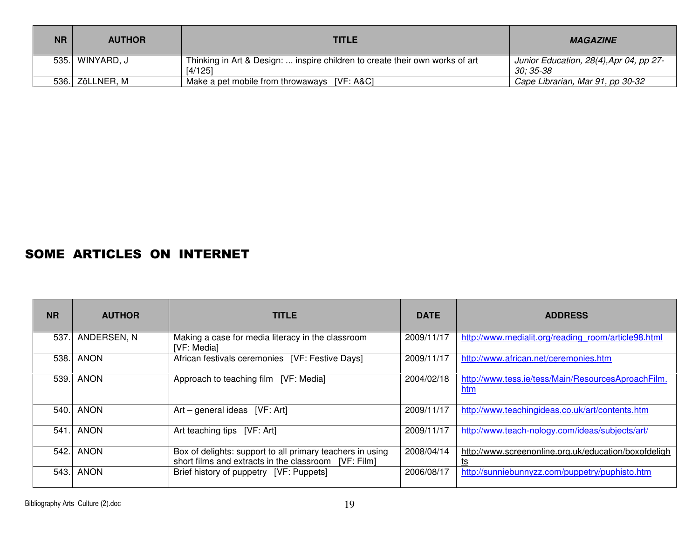| <b>NR</b> | <b>AUTHOR</b>    | <b>TITLE</b>                                                                            | <b>MAGAZINE</b>                                      |  |
|-----------|------------------|-----------------------------------------------------------------------------------------|------------------------------------------------------|--|
|           | 535.  WINYARD, J | Thinking in Art & Design:  inspire children to create their own works of art<br>[4/125] | Junior Education, 28(4), Apr 04, pp 27-<br>30: 35-38 |  |
|           | 536. ZöLLNER, M  | Make a pet mobile from throwaways [VF: A&C]                                             | Cape Librarian, Mar 91, pp 30-32                     |  |

#### SOME ARTICLES ON INTERNET

| <b>NR</b> | <b>AUTHOR</b> | <b>TITLE</b>                                                                                                      | <b>DATE</b> | <b>ADDRESS</b>                                             |
|-----------|---------------|-------------------------------------------------------------------------------------------------------------------|-------------|------------------------------------------------------------|
| 537.      | ANDERSEN, N   | Making a case for media literacy in the classroom<br>[VF: Media]                                                  | 2009/11/17  | http://www.medialit.org/reading room/article98.html        |
| 538.      | <b>ANON</b>   | African festivals ceremonies [VF: Festive Days]                                                                   | 2009/11/17  | http://www.african.net/ceremonies.htm                      |
| 539.      | <b>ANON</b>   | Approach to teaching film [VF: Media]                                                                             | 2004/02/18  | http://www.tess.ie/tess/Main/ResourcesAproachFilm.<br>htm  |
| 540.      | <b>ANON</b>   | Art – general ideas $[VF: Art]$                                                                                   | 2009/11/17  | http://www.teachingideas.co.uk/art/contents.htm            |
| 541.      | <b>ANON</b>   | Art teaching tips [VF: Art]                                                                                       | 2009/11/17  | http://www.teach-nology.com/ideas/subjects/art/            |
| 542.      | <b>ANON</b>   | Box of delights: support to all primary teachers in using<br>short films and extracts in the classroom [VF: Film] | 2008/04/14  | http://www.screenonline.org.uk/education/boxofdeligh<br>ts |
| 543.      | <b>ANON</b>   | Brief history of puppetry [VF: Puppets]                                                                           | 2006/08/17  | http://sunniebunnyzz.com/puppetry/puphisto.htm             |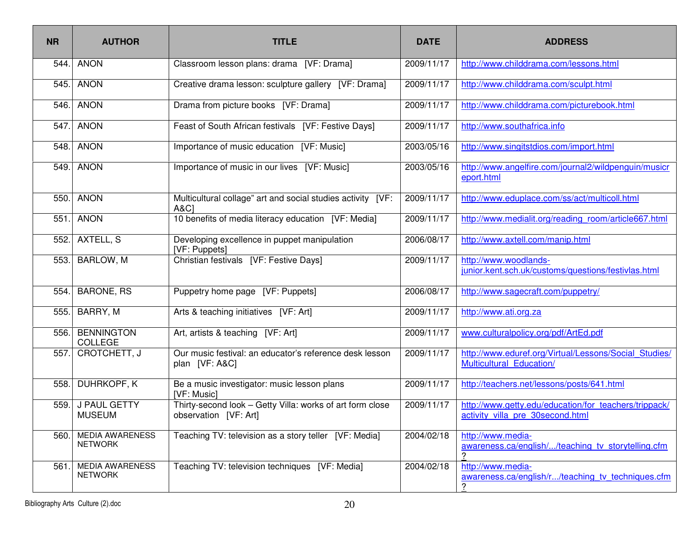| <b>NR</b> | <b>AUTHOR</b>                            | <b>TITLE</b>                                                                       | <b>DATE</b> | <b>ADDRESS</b>                                                                            |
|-----------|------------------------------------------|------------------------------------------------------------------------------------|-------------|-------------------------------------------------------------------------------------------|
| 544.      | <b>ANON</b>                              | Classroom lesson plans: drama [VF: Drama]                                          | 2009/11/17  | http://www.childdrama.com/lessons.html                                                    |
| 545.      | <b>ANON</b>                              | Creative drama lesson: sculpture gallery [VF: Drama]                               | 2009/11/17  | http://www.childdrama.com/sculpt.html                                                     |
| 546.      | <b>ANON</b>                              | Drama from picture books [VF: Drama]                                               | 2009/11/17  | http://www.childdrama.com/picturebook.html                                                |
| 547.      | <b>ANON</b>                              | Feast of South African festivals [VF: Festive Days]                                | 2009/11/17  | http://www.southafrica.info                                                               |
| 548.      | <b>ANON</b>                              | Importance of music education [VF: Music]                                          | 2003/05/16  | http://www.singitstdios.com/import.html                                                   |
| 549.      | <b>ANON</b>                              | Importance of music in our lives [VF: Music]                                       | 2003/05/16  | http://www.angelfire.com/journal2/wildpenguin/musicr<br>eport.html                        |
| 550.      | <b>ANON</b>                              | Multicultural collage" art and social studies activity [VF:<br><b>A&amp;C1</b>     | 2009/11/17  | http://www.eduplace.com/ss/act/multicoll.html                                             |
| 551.      | <b>ANON</b>                              | 10 benefits of media literacy education [VF: Media]                                | 2009/11/17  | http://www.medialit.org/reading room/article667.html                                      |
| 552.      | AXTELL, S                                | Developing excellence in puppet manipulation<br>[VF: Puppets]                      | 2006/08/17  | http://www.axtell.com/manip.html                                                          |
| 553.      | <b>BARLOW, M</b>                         | Christian festivals [VF: Festive Days]                                             | 2009/11/17  | http://www.woodlands-<br>junior.kent.sch.uk/customs/questions/festivlas.html              |
| 554.      | <b>BARONE, RS</b>                        | Puppetry home page [VF: Puppets]                                                   | 2006/08/17  | http://www.sagecraft.com/puppetry/                                                        |
| 555.      | BARRY, M                                 | Arts & teaching initiatives [VF: Art]                                              | 2009/11/17  | http://www.ati.org.za                                                                     |
| 556.      | <b>BENNINGTON</b><br><b>COLLEGE</b>      | Art, artists & teaching [VF: Art]                                                  | 2009/11/17  | www.culturalpolicy.org/pdf/ArtEd.pdf                                                      |
| 557.      | CROTCHETT, J                             | Our music festival: an educator's reference desk lesson<br>plan [VF: A&C]          | 2009/11/17  | http://www.eduref.org/Virtual/Lessons/Social Studies/<br>Multicultural Education/         |
| 558.      | DUHRKOPF, K                              | Be a music investigator: music lesson plans<br>[VF: Music]                         | 2009/11/17  | http://teachers.net/lessons/posts/641.html                                                |
| 559.      | <b>J PAUL GETTY</b><br><b>MUSEUM</b>     | Thirty-second look - Getty Villa: works of art form close<br>observation [VF: Art] | 2009/11/17  | http://www.getty.edu/education/for teachers/trippack/<br>activity villa pre 30second.html |
| 560.      | <b>MEDIA AWARENESS</b><br><b>NETWORK</b> | Teaching TV: television as a story teller [VF: Media]                              | 2004/02/18  | http://www.media-<br>awareness.ca/english//teaching tv storytelling.cfm                   |
| 561.      | <b>MEDIA AWARENESS</b><br><b>NETWORK</b> | Teaching TV: television techniques [VF: Media]                                     | 2004/02/18  | http://www.media-<br>awareness.ca/english/r/teaching tv techniques.cfm<br>?               |